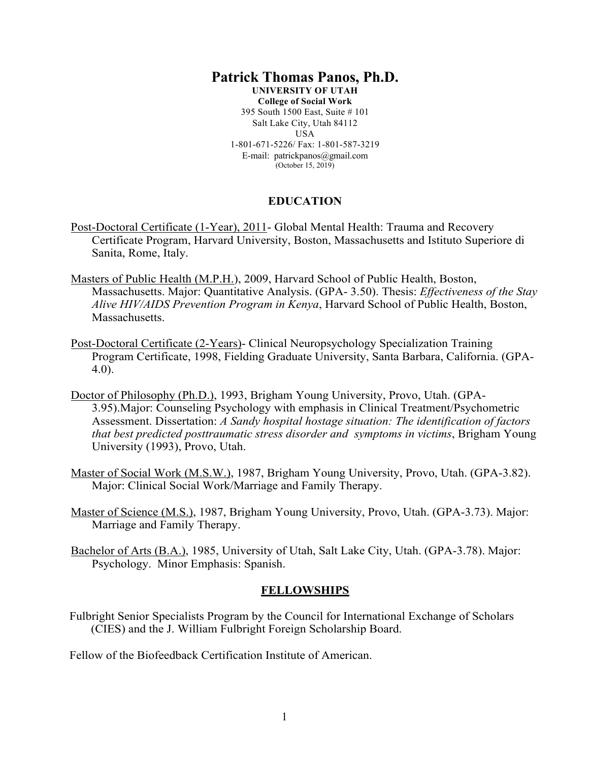#### **Patrick Thomas Panos, Ph.D. UNIVERSITY OF UTAH College of Social Work** 395 South 1500 East, Suite # 101 Salt Lake City, Utah 84112 USA

1-801-671-5226/ Fax: 1-801-587-3219 E-mail: patrickpanos@gmail.com (October 15, 2019)

## **EDUCATION**

- Post-Doctoral Certificate (1-Year), 2011- Global Mental Health: Trauma and Recovery Certificate Program, Harvard University, Boston, Massachusetts and Istituto Superiore di Sanita, Rome, Italy.
- Masters of Public Health (M.P.H.), 2009, Harvard School of Public Health, Boston, Massachusetts. Major: Quantitative Analysis. (GPA- 3.50). Thesis: *Effectiveness of the Stay Alive HIV/AIDS Prevention Program in Kenya*, Harvard School of Public Health, Boston, Massachusetts.
- Post-Doctoral Certificate (2-Years)- Clinical Neuropsychology Specialization Training Program Certificate, 1998, Fielding Graduate University, Santa Barbara, California. (GPA-4.0).
- Doctor of Philosophy (Ph.D.), 1993, Brigham Young University, Provo, Utah. (GPA-3.95).Major: Counseling Psychology with emphasis in Clinical Treatment/Psychometric Assessment. Dissertation: *A Sandy hospital hostage situation: The identification of factors that best predicted posttraumatic stress disorder and symptoms in victims*, Brigham Young University (1993), Provo, Utah.
- Master of Social Work (M.S.W.), 1987, Brigham Young University, Provo, Utah. (GPA-3.82). Major: Clinical Social Work/Marriage and Family Therapy.
- Master of Science (M.S.), 1987, Brigham Young University, Provo, Utah. (GPA-3.73). Major: Marriage and Family Therapy.
- Bachelor of Arts (B.A.), 1985, University of Utah, Salt Lake City, Utah. (GPA-3.78). Major: Psychology. Minor Emphasis: Spanish.

## **FELLOWSHIPS**

Fulbright Senior Specialists Program by the Council for International Exchange of Scholars (CIES) and the J. William Fulbright Foreign Scholarship Board.

Fellow of the Biofeedback Certification Institute of American.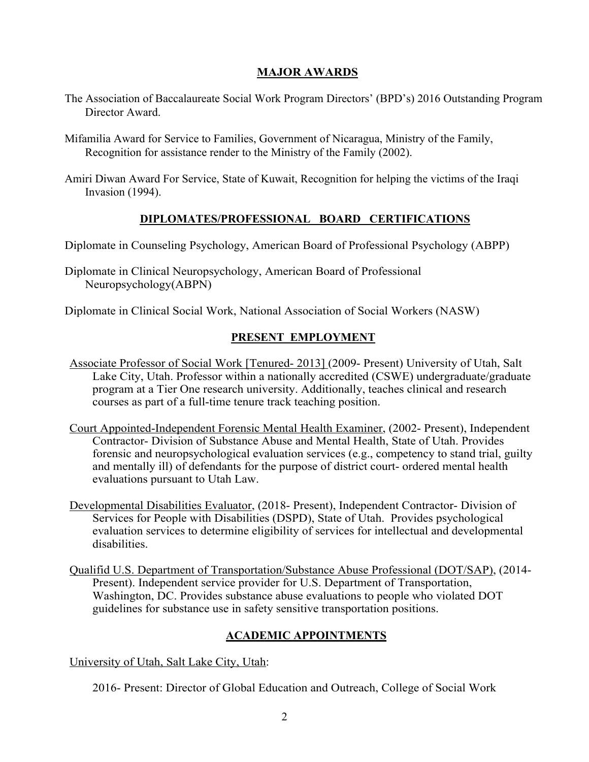# **MAJOR AWARDS**

- The Association of Baccalaureate Social Work Program Directors' (BPD's) 2016 Outstanding Program Director Award.
- Mifamilia Award for Service to Families, Government of Nicaragua, Ministry of the Family, Recognition for assistance render to the Ministry of the Family (2002).
- Amiri Diwan Award For Service, State of Kuwait, Recognition for helping the victims of the Iraqi Invasion (1994).

# **DIPLOMATES/PROFESSIONAL BOARD CERTIFICATIONS**

Diplomate in Counseling Psychology, American Board of Professional Psychology (ABPP)

Diplomate in Clinical Neuropsychology, American Board of Professional Neuropsychology(ABPN)

Diplomate in Clinical Social Work, National Association of Social Workers (NASW)

# **PRESENT EMPLOYMENT**

- Associate Professor of Social Work [Tenured- 2013] (2009- Present) University of Utah, Salt Lake City, Utah. Professor within a nationally accredited (CSWE) undergraduate/graduate program at a Tier One research university. Additionally, teaches clinical and research courses as part of a full-time tenure track teaching position.
- Court Appointed-Independent Forensic Mental Health Examiner, (2002- Present), Independent Contractor- Division of Substance Abuse and Mental Health, State of Utah. Provides forensic and neuropsychological evaluation services (e.g., competency to stand trial, guilty and mentally ill) of defendants for the purpose of district court- ordered mental health evaluations pursuant to Utah Law.
- Developmental Disabilities Evaluator, (2018- Present), Independent Contractor- Division of Services for People with Disabilities (DSPD), State of Utah. Provides psychological evaluation services to determine eligibility of services for intellectual and developmental disabilities.
- Qualifid U.S. Department of Transportation/Substance Abuse Professional (DOT/SAP), (2014- Present). Independent service provider for U.S. Department of Transportation, Washington, DC. Provides substance abuse evaluations to people who violated DOT guidelines for substance use in safety sensitive transportation positions.

## **ACADEMIC APPOINTMENTS**

University of Utah, Salt Lake City, Utah:

2016- Present: Director of Global Education and Outreach, College of Social Work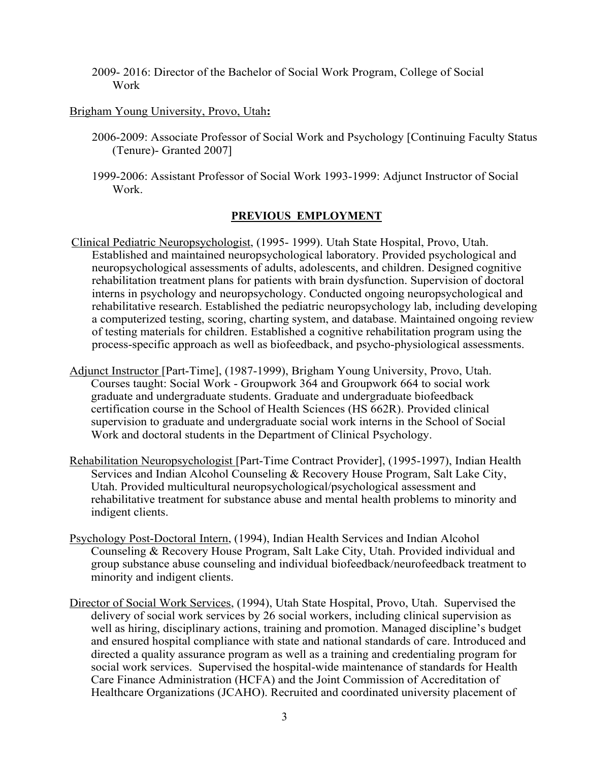2009- 2016: Director of the Bachelor of Social Work Program, College of Social Work

## Brigham Young University, Provo, Utah**:**

- 2006-2009: Associate Professor of Social Work and Psychology [Continuing Faculty Status (Tenure)- Granted 2007]
- 1999-2006: Assistant Professor of Social Work 1993-1999: Adjunct Instructor of Social Work.

## **PREVIOUS EMPLOYMENT**

- Clinical Pediatric Neuropsychologist, (1995- 1999). Utah State Hospital, Provo, Utah. Established and maintained neuropsychological laboratory. Provided psychological and neuropsychological assessments of adults, adolescents, and children. Designed cognitive rehabilitation treatment plans for patients with brain dysfunction. Supervision of doctoral interns in psychology and neuropsychology. Conducted ongoing neuropsychological and rehabilitative research. Established the pediatric neuropsychology lab, including developing a computerized testing, scoring, charting system, and database. Maintained ongoing review of testing materials for children. Established a cognitive rehabilitation program using the process-specific approach as well as biofeedback, and psycho-physiological assessments.
- Adjunct Instructor [Part-Time], (1987-1999), Brigham Young University, Provo, Utah. Courses taught: Social Work - Groupwork 364 and Groupwork 664 to social work graduate and undergraduate students. Graduate and undergraduate biofeedback certification course in the School of Health Sciences (HS 662R). Provided clinical supervision to graduate and undergraduate social work interns in the School of Social Work and doctoral students in the Department of Clinical Psychology.
- Rehabilitation Neuropsychologist [Part-Time Contract Provider], (1995-1997), Indian Health Services and Indian Alcohol Counseling & Recovery House Program, Salt Lake City, Utah. Provided multicultural neuropsychological/psychological assessment and rehabilitative treatment for substance abuse and mental health problems to minority and indigent clients.
- Psychology Post-Doctoral Intern, (1994), Indian Health Services and Indian Alcohol Counseling & Recovery House Program, Salt Lake City, Utah. Provided individual and group substance abuse counseling and individual biofeedback/neurofeedback treatment to minority and indigent clients.
- Director of Social Work Services, (1994), Utah State Hospital, Provo, Utah. Supervised the delivery of social work services by 26 social workers, including clinical supervision as well as hiring, disciplinary actions, training and promotion. Managed discipline's budget and ensured hospital compliance with state and national standards of care. Introduced and directed a quality assurance program as well as a training and credentialing program for social work services. Supervised the hospital-wide maintenance of standards for Health Care Finance Administration (HCFA) and the Joint Commission of Accreditation of Healthcare Organizations (JCAHO). Recruited and coordinated university placement of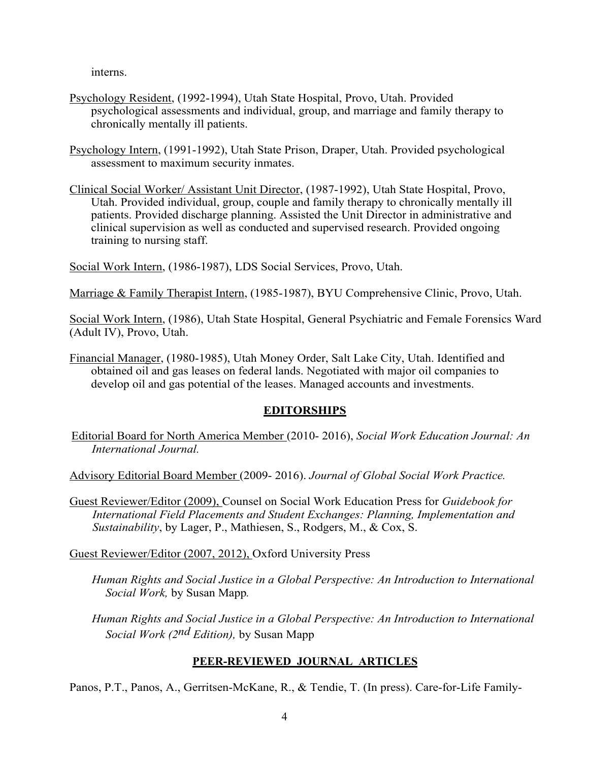interns.

- Psychology Resident, (1992-1994), Utah State Hospital, Provo, Utah. Provided psychological assessments and individual, group, and marriage and family therapy to chronically mentally ill patients.
- Psychology Intern, (1991-1992), Utah State Prison, Draper, Utah. Provided psychological assessment to maximum security inmates.
- Clinical Social Worker/ Assistant Unit Director, (1987-1992), Utah State Hospital, Provo, Utah. Provided individual, group, couple and family therapy to chronically mentally ill patients. Provided discharge planning. Assisted the Unit Director in administrative and clinical supervision as well as conducted and supervised research. Provided ongoing training to nursing staff.

Social Work Intern, (1986-1987), LDS Social Services, Provo, Utah.

Marriage & Family Therapist Intern, (1985-1987), BYU Comprehensive Clinic, Provo, Utah.

Social Work Intern, (1986), Utah State Hospital, General Psychiatric and Female Forensics Ward (Adult IV), Provo, Utah.

Financial Manager, (1980-1985), Utah Money Order, Salt Lake City, Utah. Identified and obtained oil and gas leases on federal lands. Negotiated with major oil companies to develop oil and gas potential of the leases. Managed accounts and investments.

## **EDITORSHIPS**

Editorial Board for North America Member (2010- 2016), *Social Work Education Journal: An International Journal.*

Advisory Editorial Board Member (2009- 2016). *Journal of Global Social Work Practice.*

Guest Reviewer/Editor (2009), Counsel on Social Work Education Press for *Guidebook for International Field Placements and Student Exchanges: Planning, Implementation and Sustainability*, by Lager, P., Mathiesen, S., Rodgers, M., & Cox, S.

Guest Reviewer/Editor (2007, 2012), Oxford University Press

*Human Rights and Social Justice in a Global Perspective: An Introduction to International Social Work,* by Susan Mapp*.*

*Human Rights and Social Justice in a Global Perspective: An Introduction to International Social Work (2nd Edition),* by Susan Mapp

# **PEER-REVIEWED JOURNAL ARTICLES**

Panos, P.T., Panos, A., Gerritsen-McKane, R., & Tendie, T. (In press). Care-for-Life Family-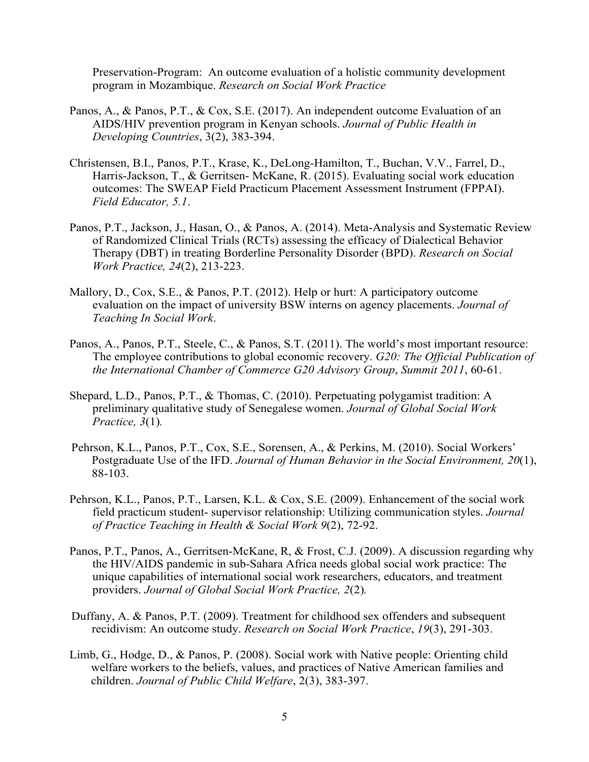Preservation-Program: An outcome evaluation of a holistic community development program in Mozambique. *Research on Social Work Practice*

- Panos, A., & Panos, P.T., & Cox, S.E. (2017). An independent outcome Evaluation of an AIDS/HIV prevention program in Kenyan schools. *Journal of Public Health in Developing Countries*, 3(2), 383-394.
- Christensen, B.I., Panos, P.T., Krase, K., DeLong-Hamilton, T., Buchan, V.V., Farrel, D., Harris-Jackson, T., & Gerritsen- McKane, R. (2015). Evaluating social work education outcomes: The SWEAP Field Practicum Placement Assessment Instrument (FPPAI). *Field Educator, 5.1*.
- Panos, P.T., Jackson, J., Hasan, O., & Panos, A. (2014). Meta-Analysis and Systematic Review of Randomized Clinical Trials (RCTs) assessing the efficacy of Dialectical Behavior Therapy (DBT) in treating Borderline Personality Disorder (BPD). *Research on Social Work Practice, 24*(2), 213-223.
- Mallory, D., Cox, S.E., & Panos, P.T. (2012). Help or hurt: A participatory outcome evaluation on the impact of university BSW interns on agency placements. *Journal of Teaching In Social Work*.
- Panos, A., Panos, P.T., Steele, C., & Panos, S.T. (2011). The world's most important resource: The employee contributions to global economic recovery. *G20: The Official Publication of the International Chamber of Commerce G20 Advisory Group*, *Summit 2011*, 60-61.
- Shepard, L.D., Panos, P.T., & Thomas, C. (2010). Perpetuating polygamist tradition: A preliminary qualitative study of Senegalese women. *Journal of Global Social Work Practice, 3*(1)*.*
- Pehrson, K.L., Panos, P.T., Cox, S.E., Sorensen, A., & Perkins, M. (2010). Social Workers' Postgraduate Use of the IFD. *Journal of Human Behavior in the Social Environment, 20*(1), 88-103.
- Pehrson, K.L., Panos, P.T., Larsen, K.L. & Cox, S.E. (2009). Enhancement of the social work field practicum student- supervisor relationship: Utilizing communication styles. *Journal of Practice Teaching in Health & Social Work 9*(2), 72-92.
- Panos, P.T., Panos, A., Gerritsen-McKane, R, & Frost, C.J. (2009). A discussion regarding why the HIV/AIDS pandemic in sub-Sahara Africa needs global social work practice: The unique capabilities of international social work researchers, educators, and treatment providers. *Journal of Global Social Work Practice, 2*(2)*.*
- Duffany, A. & Panos, P.T. (2009). Treatment for childhood sex offenders and subsequent recidivism: An outcome study. *Research on Social Work Practice*, *19*(3), 291-303.
- Limb, G., Hodge, D., & Panos, P. (2008). Social work with Native people: Orienting child welfare workers to the beliefs, values, and practices of Native American families and children. *Journal of Public Child Welfare*, 2(3), 383-397.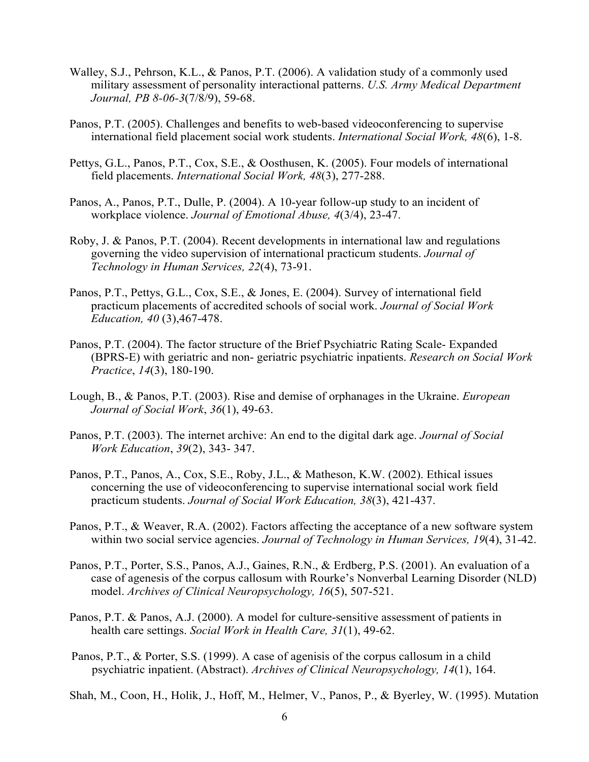- Walley, S.J., Pehrson, K.L., & Panos, P.T. (2006). A validation study of a commonly used military assessment of personality interactional patterns. *U.S. Army Medical Department Journal, PB 8-06-3*(7/8/9), 59-68.
- Panos, P.T. (2005). Challenges and benefits to web-based videoconferencing to supervise international field placement social work students. *International Social Work, 48*(6), 1-8.
- Pettys, G.L., Panos, P.T., Cox, S.E., & Oosthusen, K. (2005). Four models of international field placements. *International Social Work, 48*(3), 277-288.
- Panos, A., Panos, P.T., Dulle, P. (2004). A 10-year follow-up study to an incident of workplace violence. *Journal of Emotional Abuse, 4*(3/4), 23-47.
- Roby, J. & Panos, P.T. (2004). Recent developments in international law and regulations governing the video supervision of international practicum students. *Journal of Technology in Human Services, 22*(4), 73-91.
- Panos, P.T., Pettys, G.L., Cox, S.E., & Jones, E. (2004). Survey of international field practicum placements of accredited schools of social work. *Journal of Social Work Education, 40* (3),467-478.
- Panos, P.T. (2004). The factor structure of the Brief Psychiatric Rating Scale- Expanded (BPRS-E) with geriatric and non- geriatric psychiatric inpatients. *Research on Social Work Practice*, *14*(3), 180-190.
- Lough, B., & Panos, P.T. (2003). Rise and demise of orphanages in the Ukraine. *European Journal of Social Work*, *36*(1), 49-63.
- Panos, P.T. (2003). The internet archive: An end to the digital dark age. *Journal of Social Work Education*, *39*(2), 343- 347.
- Panos, P.T., Panos, A., Cox, S.E., Roby, J.L., & Matheson, K.W. (2002). Ethical issues concerning the use of videoconferencing to supervise international social work field practicum students. *Journal of Social Work Education, 38*(3), 421-437.
- Panos, P.T., & Weaver, R.A. (2002). Factors affecting the acceptance of a new software system within two social service agencies. *Journal of Technology in Human Services, 19*(4), 31-42.
- Panos, P.T., Porter, S.S., Panos, A.J., Gaines, R.N., & Erdberg, P.S. (2001). An evaluation of a case of agenesis of the corpus callosum with Rourke's Nonverbal Learning Disorder (NLD) model. *Archives of Clinical Neuropsychology, 16*(5), 507-521.
- Panos, P.T. & Panos, A.J. (2000). A model for culture-sensitive assessment of patients in health care settings. *Social Work in Health Care, 31*(1), 49-62.
- Panos, P.T., & Porter, S.S. (1999). A case of agenisis of the corpus callosum in a child psychiatric inpatient. (Abstract). *Archives of Clinical Neuropsychology, 14*(1), 164.

Shah, M., Coon, H., Holik, J., Hoff, M., Helmer, V., Panos, P., & Byerley, W. (1995). Mutation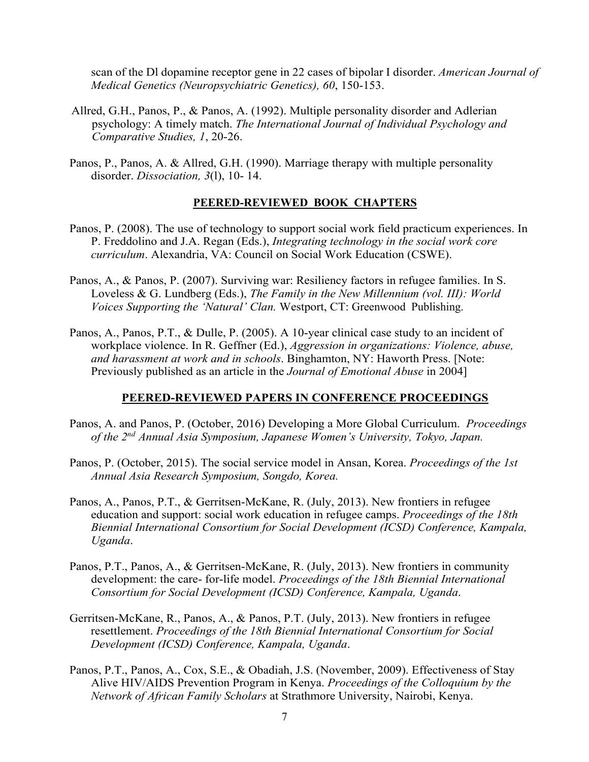scan of the Dl dopamine receptor gene in 22 cases of bipolar I disorder. *American Journal of Medical Genetics (Neuropsychiatric Genetics), 60*, 150-153.

- Allred, G.H., Panos, P., & Panos, A. (1992). Multiple personality disorder and Adlerian psychology: A timely match. *The International Journal of Individual Psychology and Comparative Studies, 1*, 20-26.
- Panos, P., Panos, A. & Allred, G.H. (1990). Marriage therapy with multiple personality disorder. *Dissociation, 3*(l), 10- 14.

#### **PEERED-REVIEWED BOOK CHAPTERS**

- Panos, P. (2008). The use of technology to support social work field practicum experiences. In P. Freddolino and J.A. Regan (Eds.), *Integrating technology in the social work core curriculum*. Alexandria, VA: Council on Social Work Education (CSWE).
- Panos, A., & Panos, P. (2007). Surviving war: Resiliency factors in refugee families. In S. Loveless & G. Lundberg (Eds.), *The Family in the New Millennium (vol. III): World Voices Supporting the 'Natural' Clan.* Westport, CT: Greenwood Publishing.
- Panos, A., Panos, P.T., & Dulle, P. (2005). A 10-year clinical case study to an incident of workplace violence. In R. Geffner (Ed.), *Aggression in organizations: Violence, abuse, and harassment at work and in schools*. Binghamton, NY: Haworth Press. [Note: Previously published as an article in the *Journal of Emotional Abuse* in 2004]

### **PEERED-REVIEWED PAPERS IN CONFERENCE PROCEEDINGS**

- Panos, A. and Panos, P. (October, 2016) Developing a More Global Curriculum. *Proceedings of the 2nd Annual Asia Symposium, Japanese Women's University, Tokyo, Japan.*
- Panos, P. (October, 2015). The social service model in Ansan, Korea. *Proceedings of the 1st Annual Asia Research Symposium, Songdo, Korea.*
- Panos, A., Panos, P.T., & Gerritsen-McKane, R. (July, 2013). New frontiers in refugee education and support: social work education in refugee camps. *Proceedings of the 18th Biennial International Consortium for Social Development (ICSD) Conference, Kampala, Uganda*.
- Panos, P.T., Panos, A., & Gerritsen-McKane, R. (July, 2013). New frontiers in community development: the care- for-life model. *Proceedings of the 18th Biennial International Consortium for Social Development (ICSD) Conference, Kampala, Uganda*.
- Gerritsen-McKane, R., Panos, A., & Panos, P.T. (July, 2013). New frontiers in refugee resettlement. *Proceedings of the 18th Biennial International Consortium for Social Development (ICSD) Conference, Kampala, Uganda*.
- Panos, P.T., Panos, A., Cox, S.E., & Obadiah, J.S. (November, 2009). Effectiveness of Stay Alive HIV/AIDS Prevention Program in Kenya. *Proceedings of the Colloquium by the Network of African Family Scholars* at Strathmore University, Nairobi, Kenya.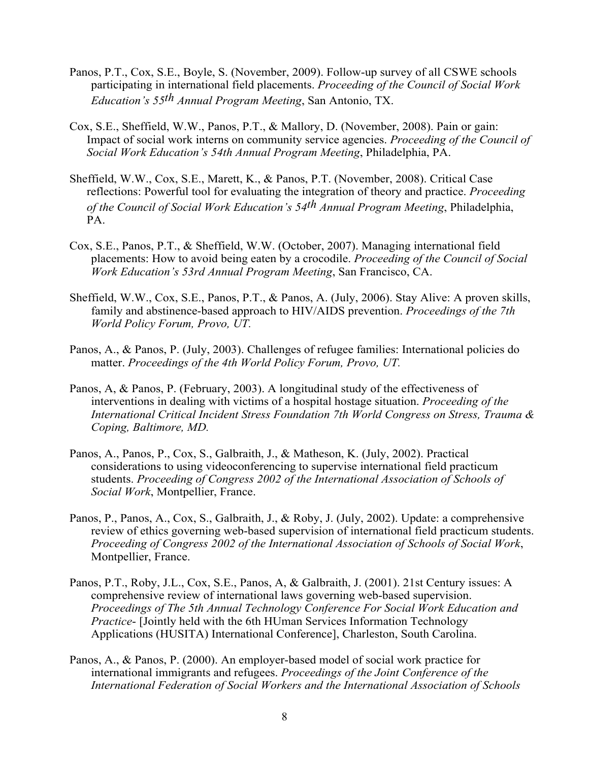- Panos, P.T., Cox, S.E., Boyle, S. (November, 2009). Follow-up survey of all CSWE schools participating in international field placements. *Proceeding of the Council of Social Work Education's 55th Annual Program Meeting*, San Antonio, TX.
- Cox, S.E., Sheffield, W.W., Panos, P.T., & Mallory, D. (November, 2008). Pain or gain: Impact of social work interns on community service agencies. *Proceeding of the Council of Social Work Education's 54th Annual Program Meeting*, Philadelphia, PA.
- Sheffield, W.W., Cox, S.E., Marett, K., & Panos, P.T. (November, 2008). Critical Case reflections: Powerful tool for evaluating the integration of theory and practice. *Proceeding of the Council of Social Work Education's 54th Annual Program Meeting*, Philadelphia, PA.
- Cox, S.E., Panos, P.T., & Sheffield, W.W. (October, 2007). Managing international field placements: How to avoid being eaten by a crocodile. *Proceeding of the Council of Social Work Education's 53rd Annual Program Meeting*, San Francisco, CA.
- Sheffield, W.W., Cox, S.E., Panos, P.T., & Panos, A. (July, 2006). Stay Alive: A proven skills, family and abstinence-based approach to HIV/AIDS prevention. *Proceedings of the 7th World Policy Forum, Provo, UT.*
- Panos, A., & Panos, P. (July, 2003). Challenges of refugee families: International policies do matter. *Proceedings of the 4th World Policy Forum, Provo, UT.*
- Panos, A, & Panos, P. (February, 2003). A longitudinal study of the effectiveness of interventions in dealing with victims of a hospital hostage situation. *Proceeding of the International Critical Incident Stress Foundation 7th World Congress on Stress, Trauma & Coping, Baltimore, MD.*
- Panos, A., Panos, P., Cox, S., Galbraith, J., & Matheson, K. (July, 2002). Practical considerations to using videoconferencing to supervise international field practicum students. *Proceeding of Congress 2002 of the International Association of Schools of Social Work*, Montpellier, France.
- Panos, P., Panos, A., Cox, S., Galbraith, J., & Roby, J. (July, 2002). Update: a comprehensive review of ethics governing web-based supervision of international field practicum students. *Proceeding of Congress 2002 of the International Association of Schools of Social Work*, Montpellier, France.
- Panos, P.T., Roby, J.L., Cox, S.E., Panos, A, & Galbraith, J. (2001). 21st Century issues: A comprehensive review of international laws governing web-based supervision. *Proceedings of The 5th Annual Technology Conference For Social Work Education and Practice*- [Jointly held with the 6th HUman Services Information Technology Applications (HUSITA) International Conference], Charleston, South Carolina.
- Panos, A., & Panos, P. (2000). An employer-based model of social work practice for international immigrants and refugees. *Proceedings of the Joint Conference of the International Federation of Social Workers and the International Association of Schools*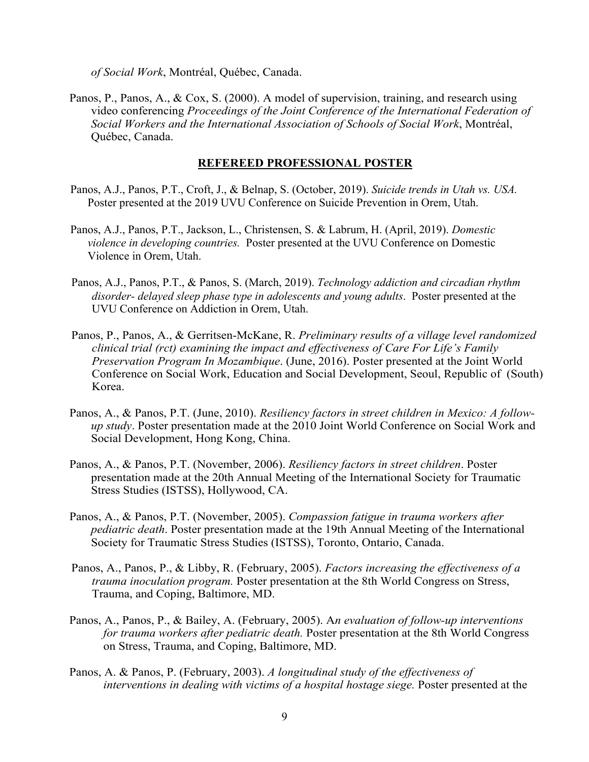*of Social Work*, Montréal, Québec, Canada.

Panos, P., Panos, A., & Cox, S. (2000). A model of supervision, training, and research using video conferencing *Proceedings of the Joint Conference of the International Federation of Social Workers and the International Association of Schools of Social Work*, Montréal, Québec, Canada.

#### **REFEREED PROFESSIONAL POSTER**

- Panos, A.J., Panos, P.T., Croft, J., & Belnap, S. (October, 2019). *Suicide trends in Utah vs. USA.*  Poster presented at the 2019 UVU Conference on Suicide Prevention in Orem, Utah.
- Panos, A.J., Panos, P.T., Jackson, L., Christensen, S. & Labrum, H. (April, 2019). *Domestic violence in developing countries.* Poster presented at the UVU Conference on Domestic Violence in Orem, Utah.
- Panos, A.J., Panos, P.T., & Panos, S. (March, 2019). *Technology addiction and circadian rhythm disorder- delayed sleep phase type in adolescents and young adults*. Poster presented at the UVU Conference on Addiction in Orem, Utah.
- Panos, P., Panos, A., & Gerritsen-McKane, R. *Preliminary results of a village level randomized clinical trial (rct) examining the impact and effectiveness of Care For Life's Family Preservation Program In Mozambique*. (June, 2016). Poster presented at the Joint World Conference on Social Work, Education and Social Development, Seoul, Republic of (South) Korea.
- Panos, A., & Panos, P.T. (June, 2010). *Resiliency factors in street children in Mexico: A followup study*. Poster presentation made at the 2010 Joint World Conference on Social Work and Social Development, Hong Kong, China.
- Panos, A., & Panos, P.T. (November, 2006). *Resiliency factors in street children*. Poster presentation made at the 20th Annual Meeting of the International Society for Traumatic Stress Studies (ISTSS), Hollywood, CA.
- Panos, A., & Panos, P.T. (November, 2005). *Compassion fatigue in trauma workers after pediatric death*. Poster presentation made at the 19th Annual Meeting of the International Society for Traumatic Stress Studies (ISTSS), Toronto, Ontario, Canada.
- Panos, A., Panos, P., & Libby, R. (February, 2005). *Factors increasing the effectiveness of a trauma inoculation program.* Poster presentation at the 8th World Congress on Stress, Trauma, and Coping, Baltimore, MD.
- Panos, A., Panos, P., & Bailey, A. (February, 2005). A*n evaluation of follow-up interventions for trauma workers after pediatric death.* Poster presentation at the 8th World Congress on Stress, Trauma, and Coping, Baltimore, MD.
- Panos, A. & Panos, P. (February, 2003). *A longitudinal study of the effectiveness of interventions in dealing with victims of a hospital hostage siege.* Poster presented at the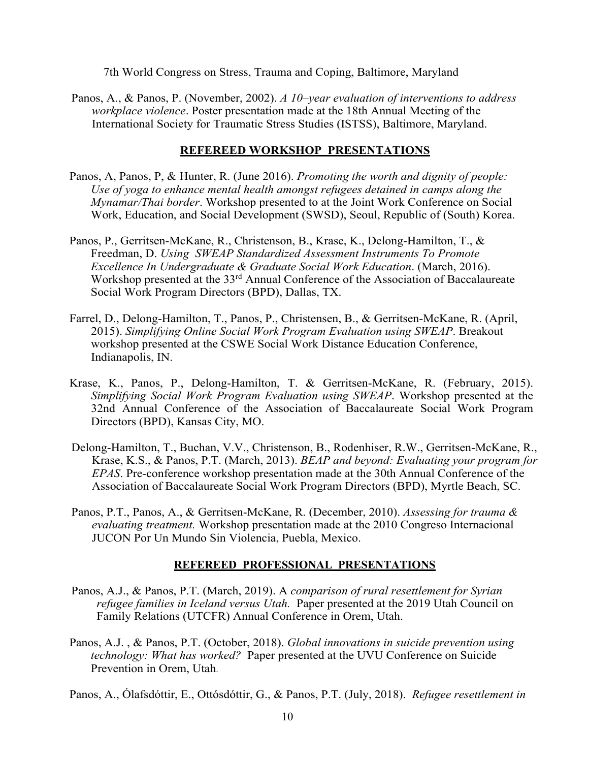7th World Congress on Stress, Trauma and Coping, Baltimore, Maryland

Panos, A., & Panos, P. (November, 2002). *A 10–year evaluation of interventions to address workplace violence*. Poster presentation made at the 18th Annual Meeting of the International Society for Traumatic Stress Studies (ISTSS), Baltimore, Maryland.

## **REFEREED WORKSHOP PRESENTATIONS**

- Panos, A, Panos, P, & Hunter, R. (June 2016). *Promoting the worth and dignity of people: Use of yoga to enhance mental health amongst refugees detained in camps along the Mynamar/Thai border*. Workshop presented to at the Joint Work Conference on Social Work, Education, and Social Development (SWSD), Seoul, Republic of (South) Korea.
- Panos, P., Gerritsen-McKane, R., Christenson, B., Krase, K., Delong-Hamilton, T., & Freedman, D. *Using SWEAP Standardized Assessment Instruments To Promote Excellence In Undergraduate & Graduate Social Work Education*. (March, 2016). Workshop presented at the 33<sup>rd</sup> Annual Conference of the Association of Baccalaureate Social Work Program Directors (BPD), Dallas, TX.
- Farrel, D., Delong-Hamilton, T., Panos, P., Christensen, B., & Gerritsen-McKane, R. (April, 2015). *Simplifying Online Social Work Program Evaluation using SWEAP*. Breakout workshop presented at the CSWE Social Work Distance Education Conference, Indianapolis, IN.
- Krase, K., Panos, P., Delong-Hamilton, T. & Gerritsen-McKane, R. (February, 2015). *Simplifying Social Work Program Evaluation using SWEAP*. Workshop presented at the 32nd Annual Conference of the Association of Baccalaureate Social Work Program Directors (BPD), Kansas City, MO.
- Delong-Hamilton, T., Buchan, V.V., Christenson, B., Rodenhiser, R.W., Gerritsen-McKane, R., Krase, K.S., & Panos, P.T. (March, 2013). *BEAP and beyond: Evaluating your program for EPAS*. Pre-conference workshop presentation made at the 30th Annual Conference of the Association of Baccalaureate Social Work Program Directors (BPD), Myrtle Beach, SC.
- Panos, P.T., Panos, A., & Gerritsen-McKane, R. (December, 2010). *Assessing for trauma & evaluating treatment.* Workshop presentation made at the 2010 Congreso Internacional JUCON Por Un Mundo Sin Violencia, Puebla, Mexico.

## **REFEREED PROFESSIONAL PRESENTATIONS**

- Panos, A.J., & Panos, P.T. (March, 2019). A *comparison of rural resettlement for Syrian refugee families in Iceland versus Utah.* Paper presented at the 2019 Utah Council on Family Relations (UTCFR) Annual Conference in Orem, Utah.
- Panos, A.J. , & Panos, P.T. (October, 2018). *Global innovations in suicide prevention using technology: What has worked?* Paper presented at the UVU Conference on Suicide Prevention in Orem, Utah.

Panos, A., Ólafsdóttir, E., Ottósdóttir, G., & Panos, P.T. (July, 2018). *Refugee resettlement in*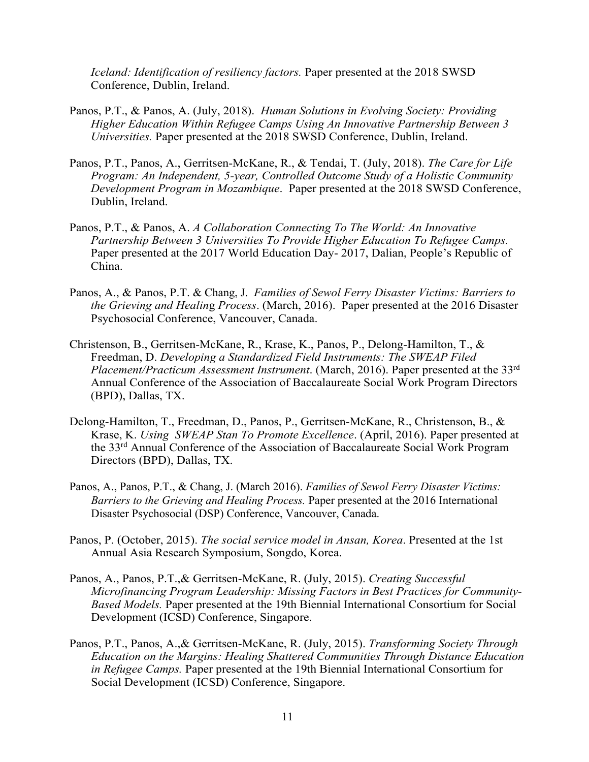*Iceland: Identification of resiliency factors.* Paper presented at the 2018 SWSD Conference, Dublin, Ireland.

- Panos, P.T., & Panos, A. (July, 2018). *Human Solutions in Evolving Society: Providing Higher Education Within Refugee Camps Using An Innovative Partnership Between 3 Universities.* Paper presented at the 2018 SWSD Conference, Dublin, Ireland.
- Panos, P.T., Panos, A., Gerritsen-McKane, R., & Tendai, T. (July, 2018). *The Care for Life Program: An Independent, 5-year, Controlled Outcome Study of a Holistic Community Development Program in Mozambique*. Paper presented at the 2018 SWSD Conference, Dublin, Ireland.
- Panos, P.T., & Panos, A. *A Collaboration Connecting To The World: An Innovative Partnership Between 3 Universities To Provide Higher Education To Refugee Camps.* Paper presented at the 2017 World Education Day- 2017, Dalian, People's Republic of China.
- Panos, A., & Panos, P.T. & Chang, J. *Families of Sewol Ferry Disaster Victims: Barriers to the Grieving and Healin*g *Process*. (March, 2016). Paper presented at the 2016 Disaster Psychosocial Conference, Vancouver, Canada.
- Christenson, B., Gerritsen-McKane, R., Krase, K., Panos, P., Delong-Hamilton, T., & Freedman, D. *Developing a Standardized Field Instruments: The SWEAP Filed Placement/Practicum Assessment Instrument*. (March, 2016). Paper presented at the 33rd Annual Conference of the Association of Baccalaureate Social Work Program Directors (BPD), Dallas, TX.
- Delong-Hamilton, T., Freedman, D., Panos, P., Gerritsen-McKane, R., Christenson, B., & Krase, K. *Using SWEAP Stan To Promote Excellence*. (April, 2016). Paper presented at the 33rd Annual Conference of the Association of Baccalaureate Social Work Program Directors (BPD), Dallas, TX.
- Panos, A., Panos, P.T., & Chang, J. (March 2016). *Families of Sewol Ferry Disaster Victims: Barriers to the Grieving and Healing Process.* Paper presented at the 2016 International Disaster Psychosocial (DSP) Conference, Vancouver, Canada.
- Panos, P. (October, 2015). *The social service model in Ansan, Korea*. Presented at the 1st Annual Asia Research Symposium, Songdo, Korea.
- Panos, A., Panos, P.T.,& Gerritsen-McKane, R. (July, 2015). *Creating Successful Microfinancing Program Leadership: Missing Factors in Best Practices for Community-Based Models.* Paper presented at the 19th Biennial International Consortium for Social Development (ICSD) Conference, Singapore.
- Panos, P.T., Panos, A.,& Gerritsen-McKane, R. (July, 2015). *Transforming Society Through Education on the Margins: Healing Shattered Communities Through Distance Education in Refugee Camps.* Paper presented at the 19th Biennial International Consortium for Social Development (ICSD) Conference, Singapore.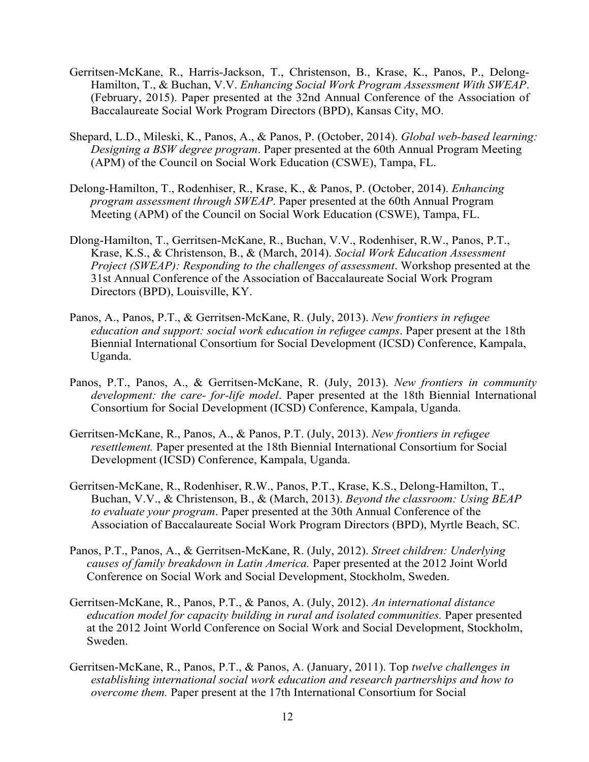- Gerritsen-McKane, R., Harris-Jackson, T., Christenson, B., Krase, K., Panos, P., Delong-Hamilton, T., & Buchan, V.V. *Enhancing Social Work Program Assessment With SWEAP*. (February, 2015). Paper presented at the 32nd Annual Conference of the Association of Baccalaureate Social Work Program Directors (BPD), Kansas City, MO.
- Shepard, L.D., Mileski, K., Panos, A., & Panos, P. (October, 2014). *Global web-based learning: Designing a BSW degree program*. Paper presented at the 60th Annual Program Meeting (APM) of the Council on Social Work Education (CSWE), Tampa, FL.
- Delong-Hamilton, T., Rodenhiser, R., Krase, K., & Panos, P. (October, 2014). *Enhancing program assessment through SWEAP*. Paper presented at the 60th Annual Program Meeting (APM) of the Council on Social Work Education (CSWE), Tampa, FL.
- Dlong-Hamilton, T., Gerritsen-McKane, R., Buchan, V.V., Rodenhiser, R.W., Panos, P.T., Krase, K.S., & Christenson, B., & (March, 2014). *Social Work Education Assessment Project (SWEAP): Responding to the challenges of assessment*. Workshop presented at the 31st Annual Conference of the Association of Baccalaureate Social Work Program Directors (BPD), Louisville, KY.
- Panos, A., Panos, P.T., & Gerritsen-McKane, R. (July, 2013). *New frontiers in refugee education and support: social work education in refugee camps*. Paper present at the 18th Biennial International Consortium for Social Development (ICSD) Conference, Kampala, Uganda.
- Panos, P.T., Panos, A., & Gerritsen-McKane, R. (July, 2013). *New frontiers in community development: the care- for-life model*. Paper presented at the 18th Biennial International Consortium for Social Development (ICSD) Conference, Kampala, Uganda.
- Gerritsen-McKane, R., Panos, A., & Panos, P.T. (July, 2013). *New frontiers in refugee resettlement.* Paper presented at the 18th Biennial International Consortium for Social Development (ICSD) Conference, Kampala, Uganda.
- Gerritsen-McKane, R., Rodenhiser, R.W., Panos, P.T., Krase, K.S., Delong-Hamilton, T., Buchan, V.V., & Christenson, B., & (March, 2013). *Beyond the classroom: Using BEAP to evaluate your program*. Paper presented at the 30th Annual Conference of the Association of Baccalaureate Social Work Program Directors (BPD), Myrtle Beach, SC.
- Panos, P.T., Panos, A., & Gerritsen-McKane, R. (July, 2012). *Street children: Underlying causes of family breakdown in Latin America.* Paper presented at the 2012 Joint World Conference on Social Work and Social Development, Stockholm, Sweden.
- Gerritsen-McKane, R., Panos, P.T., & Panos, A. (July, 2012). *An international distance education model for capacity building in rural and isolated communities.* Paper presented at the 2012 Joint World Conference on Social Work and Social Development, Stockholm, Sweden.
- Gerritsen-McKane, R., Panos, P.T., & Panos, A. (January, 2011). Top *twelve challenges in establishing international social work education and research partnerships and how to overcome them.* Paper present at the 17th International Consortium for Social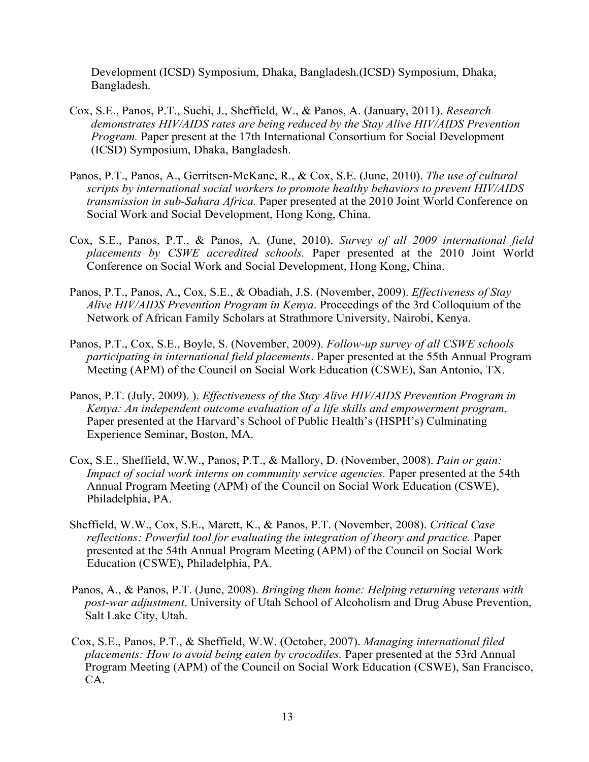Development (ICSD) Symposium, Dhaka, Bangladesh.(ICSD) Symposium, Dhaka, Bangladesh.

- Cox, S.E., Panos, P.T., Suchi, J., Sheffield, W., & Panos, A. (January, 2011). *Research demonstrates HIV/AIDS rates are being reduced by the Stay Alive HIV/AIDS Prevention Program.* Paper present at the 17th International Consortium for Social Development (ICSD) Symposium, Dhaka, Bangladesh.
- Panos, P.T., Panos, A., Gerritsen-McKane, R., & Cox, S.E. (June, 2010). *The use of cultural scripts by international social workers to promote healthy behaviors to prevent HIV/AIDS transmission in sub-Sahara Africa.* Paper presented at the 2010 Joint World Conference on Social Work and Social Development, Hong Kong, China.
- Cox, S.E., Panos, P.T., & Panos, A. (June, 2010). *Survey of all 2009 international field placements by CSWE accredited schools.* Paper presented at the 2010 Joint World Conference on Social Work and Social Development, Hong Kong, China.
- Panos, P.T., Panos, A., Cox, S.E., & Obadiah, J.S. (November, 2009). *Effectiveness of Stay Alive HIV/AIDS Prevention Program in Kenya*. Proceedings of the 3rd Colloquium of the Network of African Family Scholars at Strathmore University, Nairobi, Kenya.
- Panos, P.T., Cox, S.E., Boyle, S. (November, 2009). *Follow-up survey of all CSWE schools participating in international field placements*. Paper presented at the 55th Annual Program Meeting (APM) of the Council on Social Work Education (CSWE), San Antonio, TX.
- Panos, P.T. (July, 2009). ). *Effectiveness of the Stay Alive HIV/AIDS Prevention Program in Kenya: An independent outcome evaluation of a life skills and empowerment program*. Paper presented at the Harvard's School of Public Health's (HSPH's) Culminating Experience Seminar, Boston, MA.
- Cox, S.E., Sheffield, W.W., Panos, P.T., & Mallory, D. (November, 2008). *Pain or gain: Impact of social work interns on community service agencies.* Paper presented at the 54th Annual Program Meeting (APM) of the Council on Social Work Education (CSWE), Philadelphia, PA.
- Sheffield, W.W., Cox, S.E., Marett, K., & Panos, P.T. (November, 2008). *Critical Case reflections: Powerful tool for evaluating the integration of theory and practice.* Paper presented at the 54th Annual Program Meeting (APM) of the Council on Social Work Education (CSWE), Philadelphia, PA.
- Panos, A., & Panos, P.T. (June, 2008). *Bringing them home: Helping returning veterans with post-war adjustment*. University of Utah School of Alcoholism and Drug Abuse Prevention, Salt Lake City, Utah.
- Cox, S.E., Panos, P.T., & Sheffield, W.W. (October, 2007). *Managing international filed placements: How to avoid being eaten by crocodiles.* Paper presented at the 53rd Annual Program Meeting (APM) of the Council on Social Work Education (CSWE), San Francisco, CA.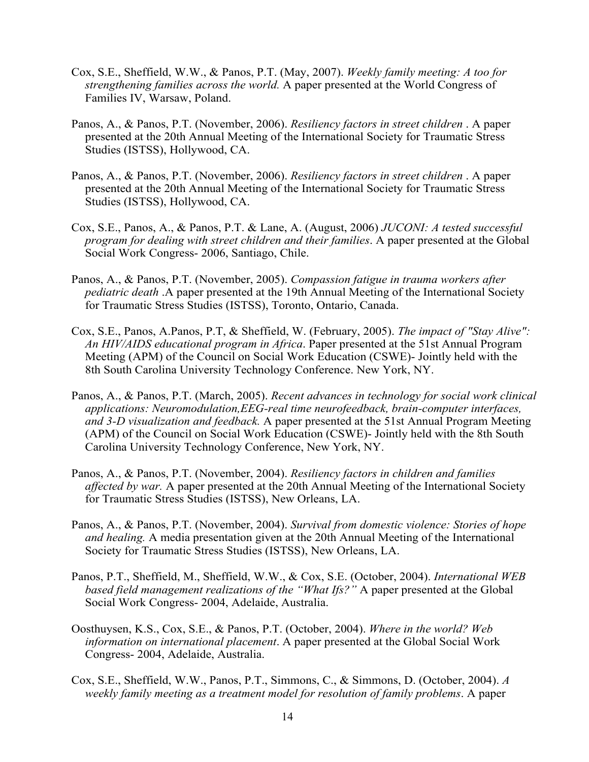- Cox, S.E., Sheffield, W.W., & Panos, P.T. (May, 2007). *Weekly family meeting: A too for strengthening families across the world.* A paper presented at the World Congress of Families IV, Warsaw, Poland.
- Panos, A., & Panos, P.T. (November, 2006). *Resiliency factors in street children* . A paper presented at the 20th Annual Meeting of the International Society for Traumatic Stress Studies (ISTSS), Hollywood, CA.
- Panos, A., & Panos, P.T. (November, 2006). *Resiliency factors in street children* . A paper presented at the 20th Annual Meeting of the International Society for Traumatic Stress Studies (ISTSS), Hollywood, CA.
- Cox, S.E., Panos, A., & Panos, P.T. & Lane, A. (August, 2006) *JUCONI: A tested successful program for dealing with street children and their families*. A paper presented at the Global Social Work Congress- 2006, Santiago, Chile.
- Panos, A., & Panos, P.T. (November, 2005). *Compassion fatigue in trauma workers after pediatric death* .A paper presented at the 19th Annual Meeting of the International Society for Traumatic Stress Studies (ISTSS), Toronto, Ontario, Canada.
- Cox, S.E., Panos, A.Panos, P.T, & Sheffield, W. (February, 2005). *The impact of "Stay Alive": An HIV/AIDS educational program in Africa*. Paper presented at the 51st Annual Program Meeting (APM) of the Council on Social Work Education (CSWE)- Jointly held with the 8th South Carolina University Technology Conference. New York, NY.
- Panos, A., & Panos, P.T. (March, 2005). *Recent advances in technology for social work clinical applications: Neuromodulation,EEG-real time neurofeedback, brain-computer interfaces, and 3-D visualization and feedback.* A paper presented at the 51st Annual Program Meeting (APM) of the Council on Social Work Education (CSWE)- Jointly held with the 8th South Carolina University Technology Conference, New York, NY.
- Panos, A., & Panos, P.T. (November, 2004). *Resiliency factors in children and families affected by war.* A paper presented at the 20th Annual Meeting of the International Society for Traumatic Stress Studies (ISTSS), New Orleans, LA.
- Panos, A., & Panos, P.T. (November, 2004). *Survival from domestic violence: Stories of hope and healing.* A media presentation given at the 20th Annual Meeting of the International Society for Traumatic Stress Studies (ISTSS), New Orleans, LA.
- Panos, P.T., Sheffield, M., Sheffield, W.W., & Cox, S.E. (October, 2004). *International WEB based field management realizations of the "What Ifs?"* A paper presented at the Global Social Work Congress- 2004, Adelaide, Australia.
- Oosthuysen, K.S., Cox, S.E., & Panos, P.T. (October, 2004). *Where in the world? Web information on international placement*. A paper presented at the Global Social Work Congress- 2004, Adelaide, Australia.
- Cox, S.E., Sheffield, W.W., Panos, P.T., Simmons, C., & Simmons, D. (October, 2004). *A weekly family meeting as a treatment model for resolution of family problems*. A paper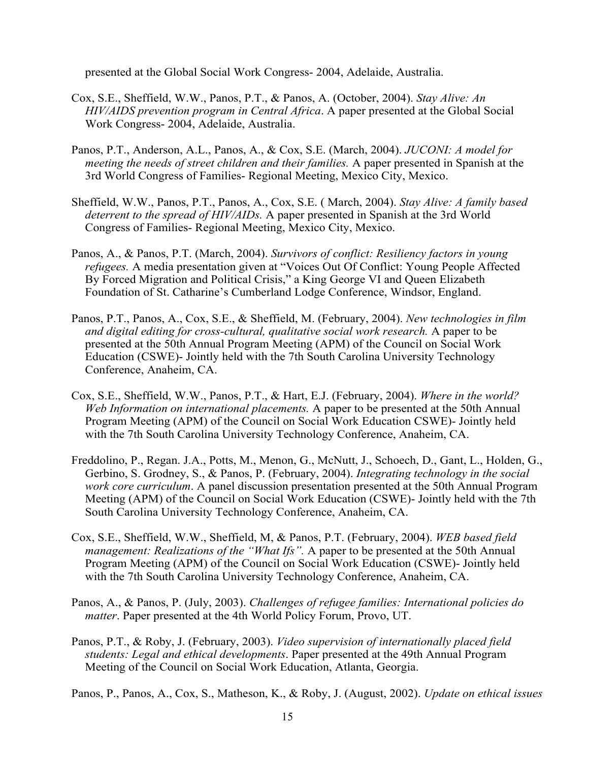presented at the Global Social Work Congress- 2004, Adelaide, Australia.

- Cox, S.E., Sheffield, W.W., Panos, P.T., & Panos, A. (October, 2004). *Stay Alive: An HIV/AIDS prevention program in Central Africa*. A paper presented at the Global Social Work Congress- 2004, Adelaide, Australia.
- Panos, P.T., Anderson, A.L., Panos, A., & Cox, S.E. (March, 2004). *JUCONI: A model for meeting the needs of street children and their families.* A paper presented in Spanish at the 3rd World Congress of Families- Regional Meeting, Mexico City, Mexico.
- Sheffield, W.W., Panos, P.T., Panos, A., Cox, S.E. ( March, 2004). *Stay Alive: A family based deterrent to the spread of HIV/AIDs.* A paper presented in Spanish at the 3rd World Congress of Families- Regional Meeting, Mexico City, Mexico.
- Panos, A., & Panos, P.T. (March, 2004). *Survivors of conflict: Resiliency factors in young refugees.* A media presentation given at "Voices Out Of Conflict: Young People Affected By Forced Migration and Political Crisis," a King George VI and Queen Elizabeth Foundation of St. Catharine's Cumberland Lodge Conference, Windsor, England.
- Panos, P.T., Panos, A., Cox, S.E., & Sheffield, M. (February, 2004). *New technologies in film and digital editing for cross-cultural, qualitative social work research.* A paper to be presented at the 50th Annual Program Meeting (APM) of the Council on Social Work Education (CSWE)- Jointly held with the 7th South Carolina University Technology Conference, Anaheim, CA.
- Cox, S.E., Sheffield, W.W., Panos, P.T., & Hart, E.J. (February, 2004). *Where in the world? Web Information on international placements.* A paper to be presented at the 50th Annual Program Meeting (APM) of the Council on Social Work Education CSWE)- Jointly held with the 7th South Carolina University Technology Conference, Anaheim, CA.
- Freddolino, P., Regan. J.A., Potts, M., Menon, G., McNutt, J., Schoech, D., Gant, L., Holden, G., Gerbino, S. Grodney, S., & Panos, P. (February, 2004). *Integrating technology in the social work core curriculum*. A panel discussion presentation presented at the 50th Annual Program Meeting (APM) of the Council on Social Work Education (CSWE)- Jointly held with the 7th South Carolina University Technology Conference, Anaheim, CA.
- Cox, S.E., Sheffield, W.W., Sheffield, M, & Panos, P.T. (February, 2004). *WEB based field management: Realizations of the "What Ifs".* A paper to be presented at the 50th Annual Program Meeting (APM) of the Council on Social Work Education (CSWE)- Jointly held with the 7th South Carolina University Technology Conference, Anaheim, CA.
- Panos, A., & Panos, P. (July, 2003). *Challenges of refugee families: International policies do matter*. Paper presented at the 4th World Policy Forum, Provo, UT.
- Panos, P.T., & Roby, J. (February, 2003). *Video supervision of internationally placed field students: Legal and ethical developments*. Paper presented at the 49th Annual Program Meeting of the Council on Social Work Education, Atlanta, Georgia.

Panos, P., Panos, A., Cox, S., Matheson, K., & Roby, J. (August, 2002). *Update on ethical issues*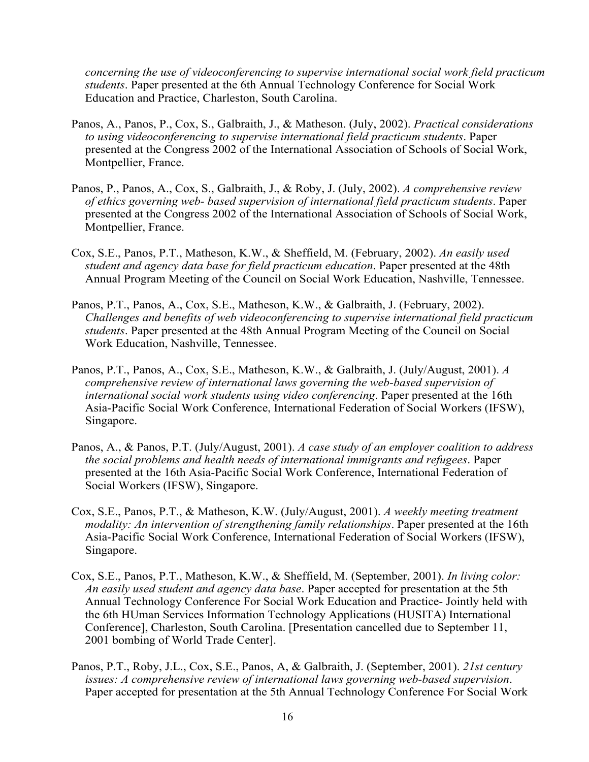*concerning the use of videoconferencing to supervise international social work field practicum students*. Paper presented at the 6th Annual Technology Conference for Social Work Education and Practice, Charleston, South Carolina.

- Panos, A., Panos, P., Cox, S., Galbraith, J., & Matheson. (July, 2002). *Practical considerations to using videoconferencing to supervise international field practicum students*. Paper presented at the Congress 2002 of the International Association of Schools of Social Work, Montpellier, France.
- Panos, P., Panos, A., Cox, S., Galbraith, J., & Roby, J. (July, 2002). *A comprehensive review of ethics governing web- based supervision of international field practicum students*. Paper presented at the Congress 2002 of the International Association of Schools of Social Work, Montpellier, France.
- Cox, S.E., Panos, P.T., Matheson, K.W., & Sheffield, M. (February, 2002). *An easily used student and agency data base for field practicum education*. Paper presented at the 48th Annual Program Meeting of the Council on Social Work Education, Nashville, Tennessee.
- Panos, P.T., Panos, A., Cox, S.E., Matheson, K.W., & Galbraith, J. (February, 2002). *Challenges and benefits of web videoconferencing to supervise international field practicum students*. Paper presented at the 48th Annual Program Meeting of the Council on Social Work Education, Nashville, Tennessee.
- Panos, P.T., Panos, A., Cox, S.E., Matheson, K.W., & Galbraith, J. (July/August, 2001). *A comprehensive review of international laws governing the web-based supervision of international social work students using video conferencing*. Paper presented at the 16th Asia-Pacific Social Work Conference, International Federation of Social Workers (IFSW), Singapore.
- Panos, A., & Panos, P.T. (July/August, 2001). *A case study of an employer coalition to address the social problems and health needs of international immigrants and refugees*. Paper presented at the 16th Asia-Pacific Social Work Conference, International Federation of Social Workers (IFSW), Singapore.
- Cox, S.E., Panos, P.T., & Matheson, K.W. (July/August, 2001). *A weekly meeting treatment modality: An intervention of strengthening family relationships*. Paper presented at the 16th Asia-Pacific Social Work Conference, International Federation of Social Workers (IFSW), Singapore.
- Cox, S.E., Panos, P.T., Matheson, K.W., & Sheffield, M. (September, 2001). *In living color: An easily used student and agency data base*. Paper accepted for presentation at the 5th Annual Technology Conference For Social Work Education and Practice- Jointly held with the 6th HUman Services Information Technology Applications (HUSITA) International Conference], Charleston, South Carolina. [Presentation cancelled due to September 11, 2001 bombing of World Trade Center].
- Panos, P.T., Roby, J.L., Cox, S.E., Panos, A, & Galbraith, J. (September, 2001). *21st century issues: A comprehensive review of international laws governing web-based supervision*. Paper accepted for presentation at the 5th Annual Technology Conference For Social Work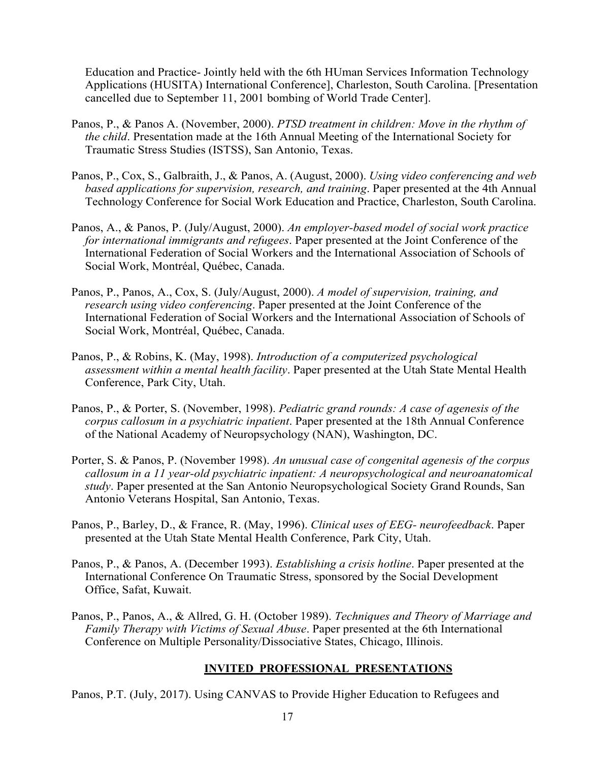Education and Practice- Jointly held with the 6th HUman Services Information Technology Applications (HUSITA) International Conference], Charleston, South Carolina. [Presentation cancelled due to September 11, 2001 bombing of World Trade Center].

- Panos, P., & Panos A. (November, 2000). *PTSD treatment in children: Move in the rhythm of the child*. Presentation made at the 16th Annual Meeting of the International Society for Traumatic Stress Studies (ISTSS), San Antonio, Texas.
- Panos, P., Cox, S., Galbraith, J., & Panos, A. (August, 2000). *Using video conferencing and web based applications for supervision, research, and training*. Paper presented at the 4th Annual Technology Conference for Social Work Education and Practice, Charleston, South Carolina.
- Panos, A., & Panos, P. (July/August, 2000). *An employer-based model of social work practice for international immigrants and refugees*. Paper presented at the Joint Conference of the International Federation of Social Workers and the International Association of Schools of Social Work, Montréal, Québec, Canada.
- Panos, P., Panos, A., Cox, S. (July/August, 2000). *A model of supervision, training, and research using video conferencing*. Paper presented at the Joint Conference of the International Federation of Social Workers and the International Association of Schools of Social Work, Montréal, Québec, Canada.
- Panos, P., & Robins, K. (May, 1998). *Introduction of a computerized psychological assessment within a mental health facility*. Paper presented at the Utah State Mental Health Conference, Park City, Utah.
- Panos, P., & Porter, S. (November, 1998). *Pediatric grand rounds: A case of agenesis of the corpus callosum in a psychiatric inpatient*. Paper presented at the 18th Annual Conference of the National Academy of Neuropsychology (NAN), Washington, DC.
- Porter, S. & Panos, P. (November 1998). *An unusual case of congenital agenesis of the corpus callosum in a 11 year-old psychiatric inpatient: A neuropsychological and neuroanatomical study*. Paper presented at the San Antonio Neuropsychological Society Grand Rounds, San Antonio Veterans Hospital, San Antonio, Texas.
- Panos, P., Barley, D., & France, R. (May, 1996). *Clinical uses of EEG- neurofeedback*. Paper presented at the Utah State Mental Health Conference, Park City, Utah.
- Panos, P., & Panos, A. (December 1993). *Establishing a crisis hotline*. Paper presented at the International Conference On Traumatic Stress, sponsored by the Social Development Office, Safat, Kuwait.
- Panos, P., Panos, A., & Allred, G. H. (October 1989). *Techniques and Theory of Marriage and Family Therapy with Victims of Sexual Abuse*. Paper presented at the 6th International Conference on Multiple Personality/Dissociative States, Chicago, Illinois.

## **INVITED PROFESSIONAL PRESENTATIONS**

Panos, P.T. (July, 2017). Using CANVAS to Provide Higher Education to Refugees and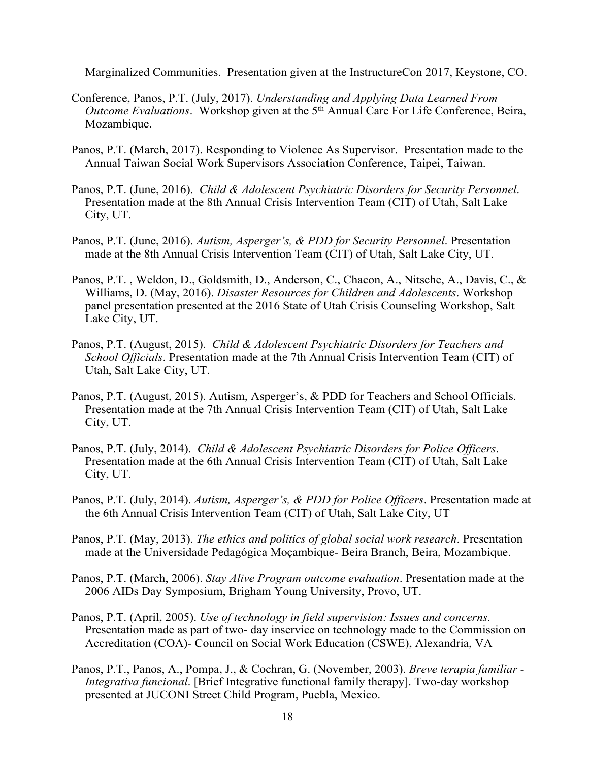Marginalized Communities. Presentation given at the InstructureCon 2017, Keystone, CO.

- Conference, Panos, P.T. (July, 2017). *Understanding and Applying Data Learned From Outcome Evaluations*. Workshop given at the 5<sup>th</sup> Annual Care For Life Conference, Beira, Mozambique.
- Panos, P.T. (March, 2017). Responding to Violence As Supervisor. Presentation made to the Annual Taiwan Social Work Supervisors Association Conference, Taipei, Taiwan.
- Panos, P.T. (June, 2016). *Child & Adolescent Psychiatric Disorders for Security Personnel*. Presentation made at the 8th Annual Crisis Intervention Team (CIT) of Utah, Salt Lake City, UT.
- Panos, P.T. (June, 2016). *Autism, Asperger's, & PDD for Security Personnel*. Presentation made at the 8th Annual Crisis Intervention Team (CIT) of Utah, Salt Lake City, UT.
- Panos, P.T. , Weldon, D., Goldsmith, D., Anderson, C., Chacon, A., Nitsche, A., Davis, C., & Williams, D. (May, 2016). *Disaster Resources for Children and Adolescents*. Workshop panel presentation presented at the 2016 State of Utah Crisis Counseling Workshop, Salt Lake City, UT.
- Panos, P.T. (August, 2015). *Child & Adolescent Psychiatric Disorders for Teachers and School Officials*. Presentation made at the 7th Annual Crisis Intervention Team (CIT) of Utah, Salt Lake City, UT.
- Panos, P.T. (August, 2015). Autism, Asperger's, & PDD for Teachers and School Officials. Presentation made at the 7th Annual Crisis Intervention Team (CIT) of Utah, Salt Lake City, UT.
- Panos, P.T. (July, 2014). *Child & Adolescent Psychiatric Disorders for Police Officers*. Presentation made at the 6th Annual Crisis Intervention Team (CIT) of Utah, Salt Lake City, UT.
- Panos, P.T. (July, 2014). *Autism, Asperger's, & PDD for Police Officers*. Presentation made at the 6th Annual Crisis Intervention Team (CIT) of Utah, Salt Lake City, UT
- Panos, P.T. (May, 2013). *The ethics and politics of global social work research*. Presentation made at the Universidade Pedagógica Moçambique- Beira Branch, Beira, Mozambique.
- Panos, P.T. (March, 2006). *Stay Alive Program outcome evaluation*. Presentation made at the 2006 AIDs Day Symposium, Brigham Young University, Provo, UT.
- Panos, P.T. (April, 2005). *Use of technology in field supervision: Issues and concerns.*  Presentation made as part of two- day inservice on technology made to the Commission on Accreditation (COA)- Council on Social Work Education (CSWE), Alexandria, VA
- Panos, P.T., Panos, A., Pompa, J., & Cochran, G. (November, 2003). *Breve terapia familiar - Integrativa funcional*. [Brief Integrative functional family therapy]. Two-day workshop presented at JUCONI Street Child Program, Puebla, Mexico.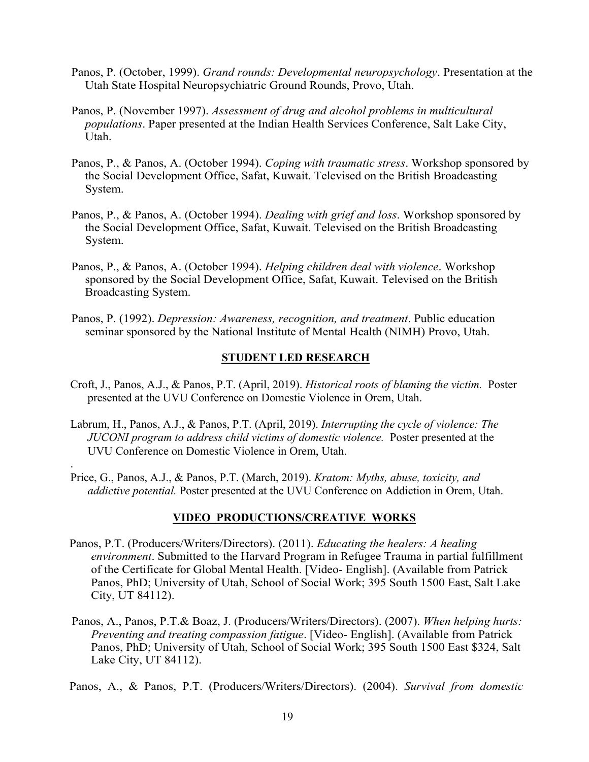- Panos, P. (October, 1999). *Grand rounds: Developmental neuropsychology*. Presentation at the Utah State Hospital Neuropsychiatric Ground Rounds, Provo, Utah.
- Panos, P. (November 1997). *Assessment of drug and alcohol problems in multicultural populations*. Paper presented at the Indian Health Services Conference, Salt Lake City, Utah.
- Panos, P., & Panos, A. (October 1994). *Coping with traumatic stress*. Workshop sponsored by the Social Development Office, Safat, Kuwait. Televised on the British Broadcasting System.
- Panos, P., & Panos, A. (October 1994). *Dealing with grief and loss*. Workshop sponsored by the Social Development Office, Safat, Kuwait. Televised on the British Broadcasting System.
- Panos, P., & Panos, A. (October 1994). *Helping children deal with violence*. Workshop sponsored by the Social Development Office, Safat, Kuwait. Televised on the British Broadcasting System.
- Panos, P. (1992). *Depression: Awareness, recognition, and treatment*. Public education seminar sponsored by the National Institute of Mental Health (NIMH) Provo, Utah.

## **STUDENT LED RESEARCH**

- Croft, J., Panos, A.J., & Panos, P.T. (April, 2019). *Historical roots of blaming the victim.* Poster presented at the UVU Conference on Domestic Violence in Orem, Utah.
- Labrum, H., Panos, A.J., & Panos, P.T. (April, 2019). *Interrupting the cycle of violence: The JUCONI program to address child victims of domestic violence.* Poster presented at the UVU Conference on Domestic Violence in Orem, Utah.

.

Price, G., Panos, A.J., & Panos, P.T. (March, 2019). *Kratom: Myths, abuse, toxicity, and addictive potential.* Poster presented at the UVU Conference on Addiction in Orem, Utah.

## **VIDEO PRODUCTIONS/CREATIVE WORKS**

- Panos, P.T. (Producers/Writers/Directors). (2011). *Educating the healers: A healing environment*. Submitted to the Harvard Program in Refugee Trauma in partial fulfillment of the Certificate for Global Mental Health. [Video- English]. (Available from Patrick Panos, PhD; University of Utah, School of Social Work; 395 South 1500 East, Salt Lake City, UT 84112).
- Panos, A., Panos, P.T.& Boaz, J. (Producers/Writers/Directors). (2007). *When helping hurts: Preventing and treating compassion fatigue*. [Video- English]. (Available from Patrick Panos, PhD; University of Utah, School of Social Work; 395 South 1500 East \$324, Salt Lake City, UT 84112).

Panos, A., & Panos, P.T. (Producers/Writers/Directors). (2004). *Survival from domestic*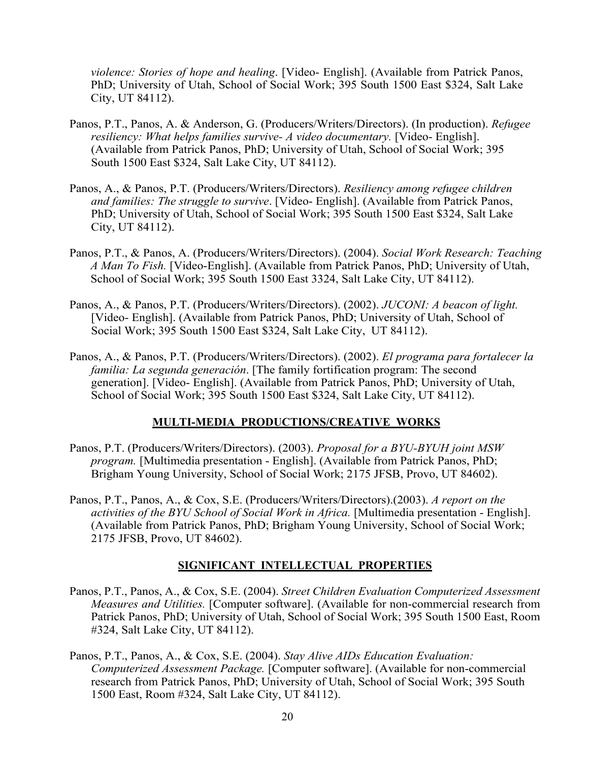*violence: Stories of hope and healing*. [Video- English]. (Available from Patrick Panos, PhD; University of Utah, School of Social Work; 395 South 1500 East \$324, Salt Lake City, UT 84112).

- Panos, P.T., Panos, A. & Anderson, G. (Producers/Writers/Directors). (In production). *Refugee resiliency: What helps families survive- A video documentary.* [Video- English]. (Available from Patrick Panos, PhD; University of Utah, School of Social Work; 395 South 1500 East \$324, Salt Lake City, UT 84112).
- Panos, A., & Panos, P.T. (Producers/Writers/Directors). *Resiliency among refugee children and families: The struggle to survive*. [Video- English]. (Available from Patrick Panos, PhD; University of Utah, School of Social Work; 395 South 1500 East \$324, Salt Lake City, UT 84112).
- Panos, P.T., & Panos, A. (Producers/Writers/Directors). (2004). *Social Work Research: Teaching A Man To Fish.* [Video-English]. (Available from Patrick Panos, PhD; University of Utah, School of Social Work; 395 South 1500 East 3324, Salt Lake City, UT 84112).
- Panos, A., & Panos, P.T. (Producers/Writers/Directors). (2002). *JUCONI: A beacon of light.*  [Video- English]. (Available from Patrick Panos, PhD; University of Utah, School of Social Work; 395 South 1500 East \$324, Salt Lake City, UT 84112).
- Panos, A., & Panos, P.T. (Producers/Writers/Directors). (2002). *El programa para fortalecer la familia: La segunda generación*. [The family fortification program: The second generation]. [Video- English]. (Available from Patrick Panos, PhD; University of Utah, School of Social Work; 395 South 1500 East \$324, Salt Lake City, UT 84112).

## **MULTI-MEDIA PRODUCTIONS/CREATIVE WORKS**

- Panos, P.T. (Producers/Writers/Directors). (2003). *Proposal for a BYU-BYUH joint MSW program.* [Multimedia presentation - English]. (Available from Patrick Panos, PhD; Brigham Young University, School of Social Work; 2175 JFSB, Provo, UT 84602).
- Panos, P.T., Panos, A., & Cox, S.E. (Producers/Writers/Directors).(2003). *A report on the activities of the BYU School of Social Work in Africa.* [Multimedia presentation - English]. (Available from Patrick Panos, PhD; Brigham Young University, School of Social Work; 2175 JFSB, Provo, UT 84602).

#### **SIGNIFICANT INTELLECTUAL PROPERTIES**

- Panos, P.T., Panos, A., & Cox, S.E. (2004). *Street Children Evaluation Computerized Assessment Measures and Utilities.* [Computer software]. (Available for non-commercial research from Patrick Panos, PhD; University of Utah, School of Social Work; 395 South 1500 East, Room #324, Salt Lake City, UT 84112).
- Panos, P.T., Panos, A., & Cox, S.E. (2004). *Stay Alive AIDs Education Evaluation: Computerized Assessment Package.* [Computer software]. (Available for non-commercial research from Patrick Panos, PhD; University of Utah, School of Social Work; 395 South 1500 East, Room #324, Salt Lake City, UT 84112).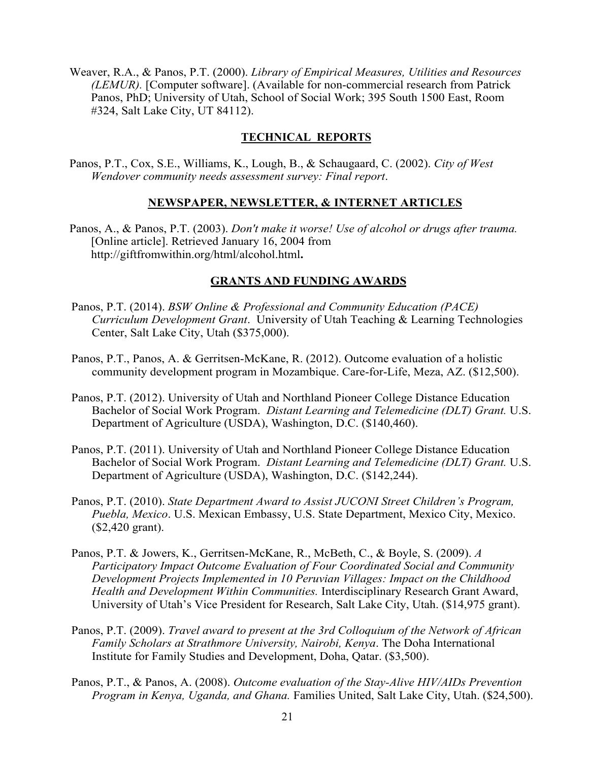Weaver, R.A., & Panos, P.T. (2000). *Library of Empirical Measures, Utilities and Resources (LEMUR).* [Computer software]. (Available for non-commercial research from Patrick Panos, PhD; University of Utah, School of Social Work; 395 South 1500 East, Room #324, Salt Lake City, UT 84112).

## **TECHNICAL REPORTS**

Panos, P.T., Cox, S.E., Williams, K., Lough, B., & Schaugaard, C. (2002). *City of West Wendover community needs assessment survey: Final report*.

## **NEWSPAPER, NEWSLETTER, & INTERNET ARTICLES**

Panos, A., & Panos, P.T. (2003). *Don't make it worse! Use of alcohol or drugs after trauma.*  [Online article]. Retrieved January 16, 2004 from http://giftfromwithin.org/html/alcohol.html**.**

## **GRANTS AND FUNDING AWARDS**

- Panos, P.T. (2014). *BSW Online & Professional and Community Education (PACE) Curriculum Development Grant*. University of Utah Teaching & Learning Technologies Center, Salt Lake City, Utah (\$375,000).
- Panos, P.T., Panos, A. & Gerritsen-McKane, R. (2012). Outcome evaluation of a holistic community development program in Mozambique. Care-for-Life, Meza, AZ. (\$12,500).
- Panos, P.T. (2012). University of Utah and Northland Pioneer College Distance Education Bachelor of Social Work Program. *Distant Learning and Telemedicine (DLT) Grant.* U.S. Department of Agriculture (USDA), Washington, D.C. (\$140,460).
- Panos, P.T. (2011). University of Utah and Northland Pioneer College Distance Education Bachelor of Social Work Program. *Distant Learning and Telemedicine (DLT) Grant.* U.S. Department of Agriculture (USDA), Washington, D.C. (\$142,244).
- Panos, P.T. (2010). *State Department Award to Assist JUCONI Street Children's Program, Puebla, Mexico*. U.S. Mexican Embassy, U.S. State Department, Mexico City, Mexico. (\$2,420 grant).
- Panos, P.T. & Jowers, K., Gerritsen-McKane, R., McBeth, C., & Boyle, S. (2009). *A Participatory Impact Outcome Evaluation of Four Coordinated Social and Community Development Projects Implemented in 10 Peruvian Villages: Impact on the Childhood Health and Development Within Communities.* Interdisciplinary Research Grant Award, University of Utah's Vice President for Research, Salt Lake City, Utah. (\$14,975 grant).
- Panos, P.T. (2009). *Travel award to present at the 3rd Colloquium of the Network of African Family Scholars at Strathmore University, Nairobi, Kenya*. The Doha International Institute for Family Studies and Development, Doha, Qatar. (\$3,500).
- Panos, P.T., & Panos, A. (2008). *Outcome evaluation of the Stay-Alive HIV/AIDs Prevention Program in Kenya, Uganda, and Ghana.* Families United, Salt Lake City, Utah. (\$24,500).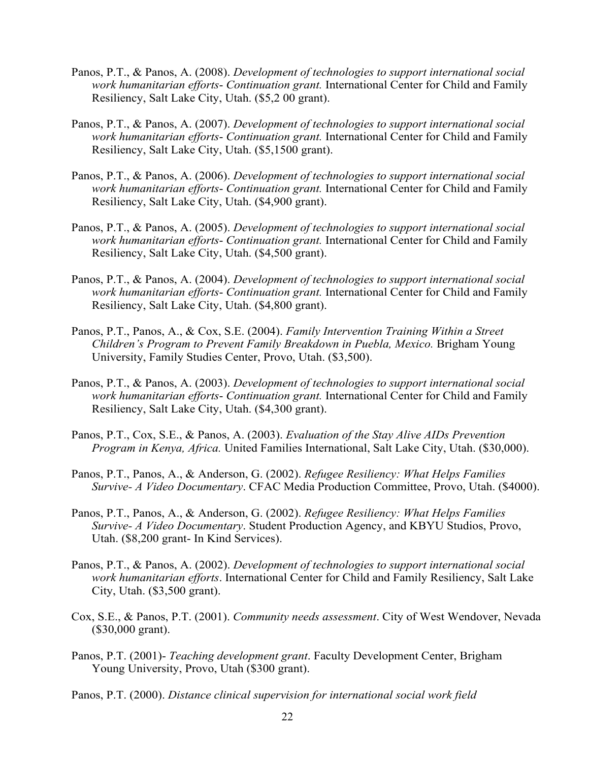- Panos, P.T., & Panos, A. (2008). *Development of technologies to support international social work humanitarian efforts*- *Continuation grant.* International Center for Child and Family Resiliency, Salt Lake City, Utah. (\$5,2 00 grant).
- Panos, P.T., & Panos, A. (2007). *Development of technologies to support international social work humanitarian efforts*- *Continuation grant.* International Center for Child and Family Resiliency, Salt Lake City, Utah. (\$5,1500 grant).
- Panos, P.T., & Panos, A. (2006). *Development of technologies to support international social work humanitarian efforts*- *Continuation grant.* International Center for Child and Family Resiliency, Salt Lake City, Utah. (\$4,900 grant).
- Panos, P.T., & Panos, A. (2005). *Development of technologies to support international social work humanitarian efforts*- *Continuation grant.* International Center for Child and Family Resiliency, Salt Lake City, Utah. (\$4,500 grant).
- Panos, P.T., & Panos, A. (2004). *Development of technologies to support international social work humanitarian efforts*- *Continuation grant.* International Center for Child and Family Resiliency, Salt Lake City, Utah. (\$4,800 grant).
- Panos, P.T., Panos, A., & Cox, S.E. (2004). *Family Intervention Training Within a Street Children's Program to Prevent Family Breakdown in Puebla, Mexico.* Brigham Young University, Family Studies Center, Provo, Utah. (\$3,500).
- Panos, P.T., & Panos, A. (2003). *Development of technologies to support international social work humanitarian efforts*- *Continuation grant.* International Center for Child and Family Resiliency, Salt Lake City, Utah. (\$4,300 grant).
- Panos, P.T., Cox, S.E., & Panos, A. (2003). *Evaluation of the Stay Alive AIDs Prevention Program in Kenya, Africa.* United Families International, Salt Lake City, Utah. (\$30,000).
- Panos, P.T., Panos, A., & Anderson, G. (2002). *Refugee Resiliency: What Helps Families Survive- A Video Documentary*. CFAC Media Production Committee, Provo, Utah. (\$4000).
- Panos, P.T., Panos, A., & Anderson, G. (2002). *Refugee Resiliency: What Helps Families Survive- A Video Documentary*. Student Production Agency, and KBYU Studios, Provo, Utah. (\$8,200 grant- In Kind Services).
- Panos, P.T., & Panos, A. (2002). *Development of technologies to support international social work humanitarian efforts*. International Center for Child and Family Resiliency, Salt Lake City, Utah. (\$3,500 grant).
- Cox, S.E., & Panos, P.T. (2001). *Community needs assessment*. City of West Wendover, Nevada (\$30,000 grant).
- Panos, P.T. (2001)- *Teaching development grant*. Faculty Development Center, Brigham Young University, Provo, Utah (\$300 grant).
- Panos, P.T. (2000). *Distance clinical supervision for international social work field*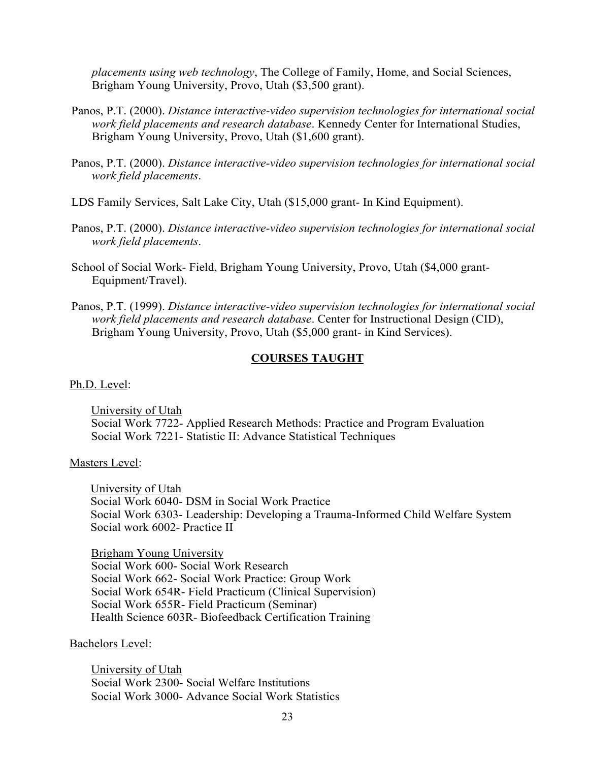*placements using web technology*, The College of Family, Home, and Social Sciences, Brigham Young University, Provo, Utah (\$3,500 grant).

- Panos, P.T. (2000). *Distance interactive-video supervision technologies for international social work field placements and research database*. Kennedy Center for International Studies, Brigham Young University, Provo, Utah (\$1,600 grant).
- Panos, P.T. (2000). *Distance interactive-video supervision technologies for international social work field placements*.
- LDS Family Services, Salt Lake City, Utah (\$15,000 grant- In Kind Equipment).
- Panos, P.T. (2000). *Distance interactive-video supervision technologies for international social work field placements*.
- School of Social Work- Field, Brigham Young University, Provo, Utah (\$4,000 grant-Equipment/Travel).
- Panos, P.T. (1999). *Distance interactive-video supervision technologies for international social work field placements and research database*. Center for Instructional Design (CID), Brigham Young University, Provo, Utah (\$5,000 grant- in Kind Services).

#### **COURSES TAUGHT**

Ph.D. Level:

University of Utah Social Work 7722- Applied Research Methods: Practice and Program Evaluation Social Work 7221- Statistic II: Advance Statistical Techniques

#### Masters Level:

University of Utah Social Work 6040- DSM in Social Work Practice Social Work 6303- Leadership: Developing a Trauma-Informed Child Welfare System Social work 6002- Practice II

Brigham Young University Social Work 600- Social Work Research Social Work 662- Social Work Practice: Group Work Social Work 654R- Field Practicum (Clinical Supervision) Social Work 655R- Field Practicum (Seminar) Health Science 603R- Biofeedback Certification Training

#### Bachelors Level:

University of Utah Social Work 2300- Social Welfare Institutions Social Work 3000- Advance Social Work Statistics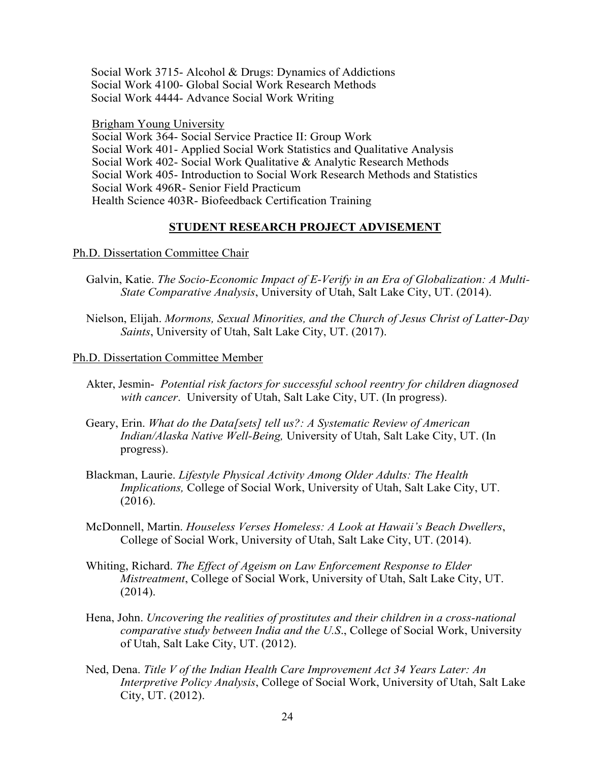Social Work 3715- Alcohol & Drugs: Dynamics of Addictions Social Work 4100- Global Social Work Research Methods Social Work 4444- Advance Social Work Writing

Brigham Young University Social Work 364- Social Service Practice II: Group Work Social Work 401- Applied Social Work Statistics and Qualitative Analysis Social Work 402- Social Work Qualitative & Analytic Research Methods Social Work 405- Introduction to Social Work Research Methods and Statistics Social Work 496R- Senior Field Practicum Health Science 403R- Biofeedback Certification Training

### **STUDENT RESEARCH PROJECT ADVISEMENT**

#### Ph.D. Dissertation Committee Chair

- Galvin, Katie. *The Socio-Economic Impact of E-Verify in an Era of Globalization: A Multi-State Comparative Analysis*, University of Utah, Salt Lake City, UT. (2014).
- Nielson, Elijah. *Mormons, Sexual Minorities, and the Church of Jesus Christ of Latter-Day Saints*, University of Utah, Salt Lake City, UT. (2017).

Ph.D. Dissertation Committee Member

- Akter, Jesmin- *Potential risk factors for successful school reentry for children diagnosed with cancer*. University of Utah, Salt Lake City, UT. (In progress).
- Geary, Erin. *What do the Data[sets] tell us?: A Systematic Review of American Indian/Alaska Native Well-Being,* University of Utah, Salt Lake City, UT. (In progress).
- Blackman, Laurie. *Lifestyle Physical Activity Among Older Adults: The Health Implications,* College of Social Work, University of Utah, Salt Lake City, UT. (2016).
- McDonnell, Martin. *Houseless Verses Homeless: A Look at Hawaii's Beach Dwellers*, College of Social Work, University of Utah, Salt Lake City, UT. (2014).
- Whiting, Richard. *The Effect of Ageism on Law Enforcement Response to Elder Mistreatment*, College of Social Work, University of Utah, Salt Lake City, UT. (2014).
- Hena, John. *Uncovering the realities of prostitutes and their children in a cross-national comparative study between India and the U.S*., College of Social Work, University of Utah, Salt Lake City, UT. (2012).
- Ned, Dena. *Title V of the Indian Health Care Improvement Act 34 Years Later: An Interpretive Policy Analysis*, College of Social Work, University of Utah, Salt Lake City, UT. (2012).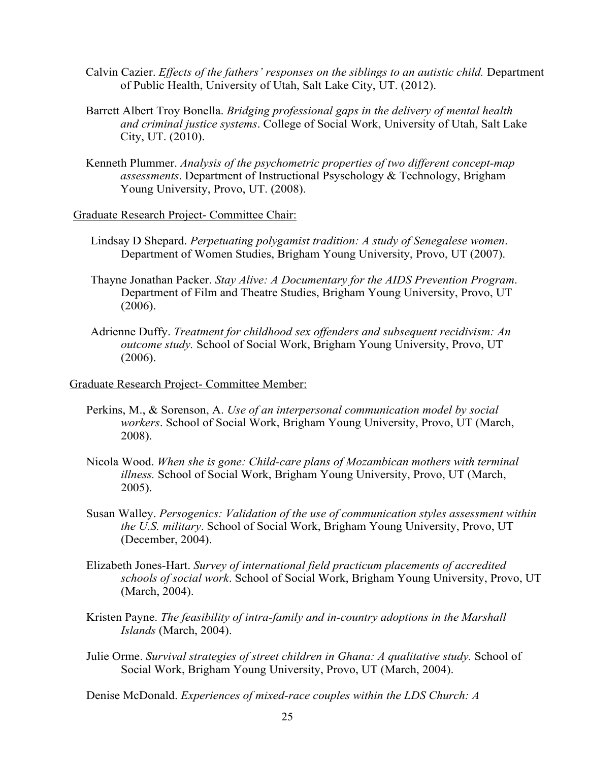- Calvin Cazier. *Effects of the fathers' responses on the siblings to an autistic child.* Department of Public Health, University of Utah, Salt Lake City, UT. (2012).
- Barrett Albert Troy Bonella. *Bridging professional gaps in the delivery of mental health and criminal justice systems*. College of Social Work, University of Utah, Salt Lake City, UT. (2010).
- Kenneth Plummer. *Analysis of the psychometric properties of two different concept-map assessments*. Department of Instructional Psyschology & Technology, Brigham Young University, Provo, UT. (2008).

Graduate Research Project- Committee Chair:

- Lindsay D Shepard. *Perpetuating polygamist tradition: A study of Senegalese women*. Department of Women Studies, Brigham Young University, Provo, UT (2007).
- Thayne Jonathan Packer. *Stay Alive: A Documentary for the AIDS Prevention Program*. Department of Film and Theatre Studies, Brigham Young University, Provo, UT (2006).
- Adrienne Duffy. *Treatment for childhood sex offenders and subsequent recidivism: An outcome study.* School of Social Work, Brigham Young University, Provo, UT (2006).

#### Graduate Research Project- Committee Member:

- Perkins, M., & Sorenson, A. *Use of an interpersonal communication model by social workers*. School of Social Work, Brigham Young University, Provo, UT (March, 2008).
- Nicola Wood. *When she is gone: Child-care plans of Mozambican mothers with terminal illness.* School of Social Work, Brigham Young University, Provo, UT (March, 2005).
- Susan Walley. *Persogenics: Validation of the use of communication styles assessment within the U.S. military*. School of Social Work, Brigham Young University, Provo, UT (December, 2004).
- Elizabeth Jones-Hart. *Survey of international field practicum placements of accredited schools of social work*. School of Social Work, Brigham Young University, Provo, UT (March, 2004).
- Kristen Payne. *The feasibility of intra-family and in-country adoptions in the Marshall Islands* (March, 2004).
- Julie Orme. *Survival strategies of street children in Ghana: A qualitative study.* School of Social Work, Brigham Young University, Provo, UT (March, 2004).

Denise McDonald. *Experiences of mixed-race couples within the LDS Church: A*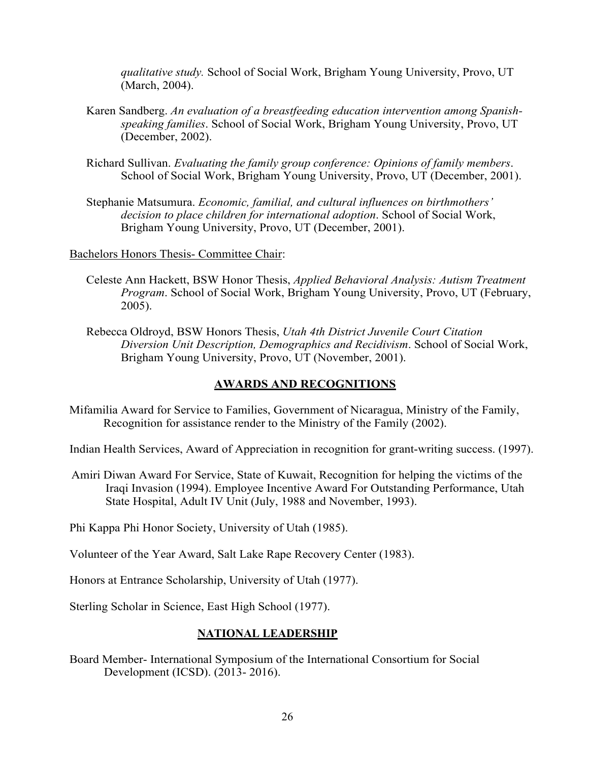*qualitative study.* School of Social Work, Brigham Young University, Provo, UT (March, 2004).

- Karen Sandberg. *An evaluation of a breastfeeding education intervention among Spanishspeaking families*. School of Social Work, Brigham Young University, Provo, UT (December, 2002).
- Richard Sullivan. *Evaluating the family group conference: Opinions of family members*. School of Social Work, Brigham Young University, Provo, UT (December, 2001).
- Stephanie Matsumura. *Economic, familial, and cultural influences on birthmothers' decision to place children for international adoption*. School of Social Work, Brigham Young University, Provo, UT (December, 2001).

Bachelors Honors Thesis- Committee Chair:

- Celeste Ann Hackett, BSW Honor Thesis, *Applied Behavioral Analysis: Autism Treatment Program*. School of Social Work, Brigham Young University, Provo, UT (February, 2005).
- Rebecca Oldroyd, BSW Honors Thesis, *Utah 4th District Juvenile Court Citation Diversion Unit Description, Demographics and Recidivism*. School of Social Work, Brigham Young University, Provo, UT (November, 2001).

## **AWARDS AND RECOGNITIONS**

Mifamilia Award for Service to Families, Government of Nicaragua, Ministry of the Family, Recognition for assistance render to the Ministry of the Family (2002).

Indian Health Services, Award of Appreciation in recognition for grant-writing success. (1997).

Amiri Diwan Award For Service, State of Kuwait, Recognition for helping the victims of the Iraqi Invasion (1994). Employee Incentive Award For Outstanding Performance, Utah State Hospital, Adult IV Unit (July, 1988 and November, 1993).

Phi Kappa Phi Honor Society, University of Utah (1985).

Volunteer of the Year Award, Salt Lake Rape Recovery Center (1983).

Honors at Entrance Scholarship, University of Utah (1977).

Sterling Scholar in Science, East High School (1977).

## **NATIONAL LEADERSHIP**

Board Member- International Symposium of the International Consortium for Social Development (ICSD). (2013- 2016).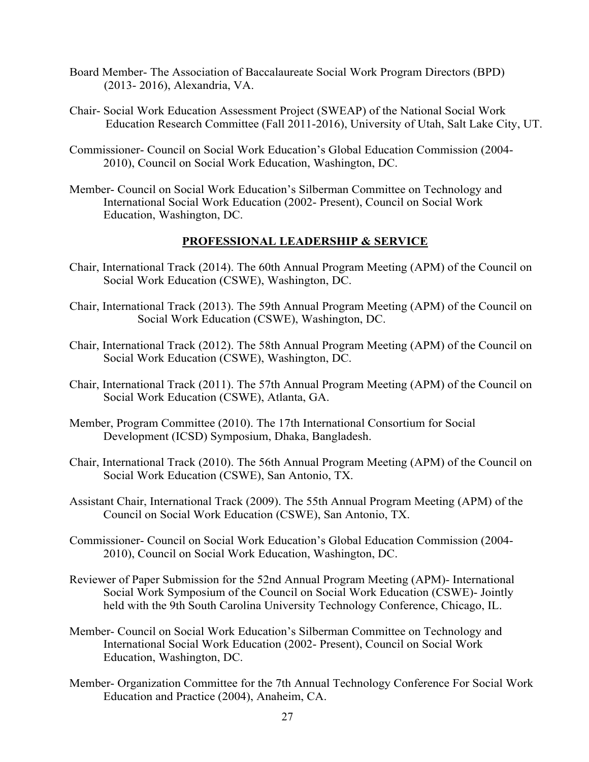- Board Member- The Association of Baccalaureate Social Work Program Directors (BPD) (2013- 2016), Alexandria, VA.
- Chair- Social Work Education Assessment Project (SWEAP) of the National Social Work Education Research Committee (Fall 2011-2016), University of Utah, Salt Lake City, UT.
- Commissioner- Council on Social Work Education's Global Education Commission (2004- 2010), Council on Social Work Education, Washington, DC.
- Member- Council on Social Work Education's Silberman Committee on Technology and International Social Work Education (2002- Present), Council on Social Work Education, Washington, DC.

## **PROFESSIONAL LEADERSHIP & SERVICE**

- Chair, International Track (2014). The 60th Annual Program Meeting (APM) of the Council on Social Work Education (CSWE), Washington, DC.
- Chair, International Track (2013). The 59th Annual Program Meeting (APM) of the Council on Social Work Education (CSWE), Washington, DC.
- Chair, International Track (2012). The 58th Annual Program Meeting (APM) of the Council on Social Work Education (CSWE), Washington, DC.
- Chair, International Track (2011). The 57th Annual Program Meeting (APM) of the Council on Social Work Education (CSWE), Atlanta, GA.
- Member, Program Committee (2010). The 17th International Consortium for Social Development (ICSD) Symposium, Dhaka, Bangladesh.
- Chair, International Track (2010). The 56th Annual Program Meeting (APM) of the Council on Social Work Education (CSWE), San Antonio, TX.
- Assistant Chair, International Track (2009). The 55th Annual Program Meeting (APM) of the Council on Social Work Education (CSWE), San Antonio, TX.
- Commissioner- Council on Social Work Education's Global Education Commission (2004- 2010), Council on Social Work Education, Washington, DC.
- Reviewer of Paper Submission for the 52nd Annual Program Meeting (APM)- International Social Work Symposium of the Council on Social Work Education (CSWE)- Jointly held with the 9th South Carolina University Technology Conference, Chicago, IL.
- Member- Council on Social Work Education's Silberman Committee on Technology and International Social Work Education (2002- Present), Council on Social Work Education, Washington, DC.
- Member- Organization Committee for the 7th Annual Technology Conference For Social Work Education and Practice (2004), Anaheim, CA.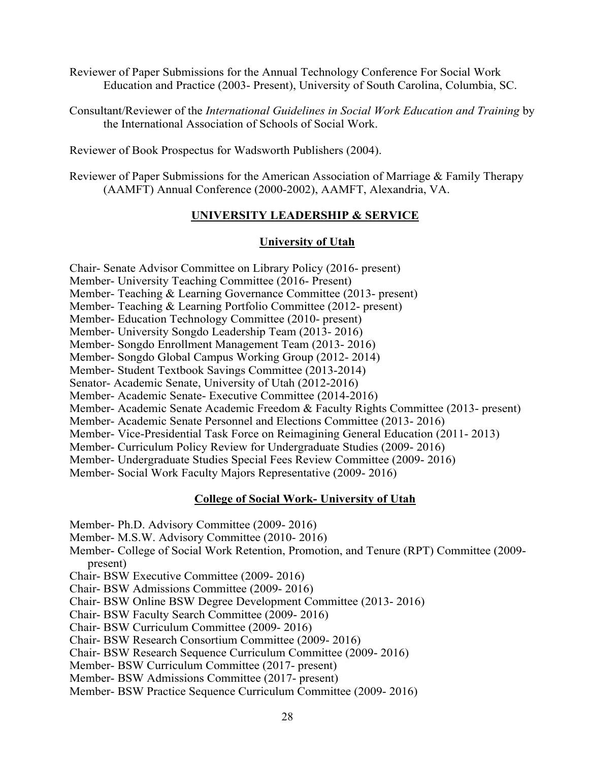Reviewer of Paper Submissions for the Annual Technology Conference For Social Work Education and Practice (2003- Present), University of South Carolina, Columbia, SC.

Consultant/Reviewer of the *International Guidelines in Social Work Education and Training* by the International Association of Schools of Social Work.

Reviewer of Book Prospectus for Wadsworth Publishers (2004).

Reviewer of Paper Submissions for the American Association of Marriage & Family Therapy (AAMFT) Annual Conference (2000-2002), AAMFT, Alexandria, VA.

## **UNIVERSITY LEADERSHIP & SERVICE**

## **University of Utah**

Chair- Senate Advisor Committee on Library Policy (2016- present)

Member- University Teaching Committee (2016- Present)

Member- Teaching & Learning Governance Committee (2013- present)

Member- Teaching & Learning Portfolio Committee (2012- present)

Member- Education Technology Committee (2010- present)

Member- University Songdo Leadership Team (2013- 2016)

Member- Songdo Enrollment Management Team (2013- 2016)

Member- Songdo Global Campus Working Group (2012- 2014)

Member- Student Textbook Savings Committee (2013-2014)

Senator- Academic Senate, University of Utah (2012-2016)

Member- Academic Senate- Executive Committee (2014-2016)

Member- Academic Senate Academic Freedom & Faculty Rights Committee (2013- present)

Member- Academic Senate Personnel and Elections Committee (2013- 2016)

Member- Vice-Presidential Task Force on Reimagining General Education (2011- 2013)

Member- Curriculum Policy Review for Undergraduate Studies (2009- 2016)

Member- Undergraduate Studies Special Fees Review Committee (2009- 2016)

Member- Social Work Faculty Majors Representative (2009- 2016)

## **College of Social Work- University of Utah**

Member- Ph.D. Advisory Committee (2009- 2016)

Member- M.S.W. Advisory Committee (2010- 2016)

Member- College of Social Work Retention, Promotion, and Tenure (RPT) Committee (2009 present)

Chair- BSW Executive Committee (2009- 2016)

Chair- BSW Admissions Committee (2009- 2016)

Chair- BSW Online BSW Degree Development Committee (2013- 2016)

Chair- BSW Faculty Search Committee (2009- 2016)

Chair- BSW Curriculum Committee (2009- 2016)

Chair- BSW Research Consortium Committee (2009- 2016)

Chair- BSW Research Sequence Curriculum Committee (2009- 2016)

Member- BSW Curriculum Committee (2017- present)

Member- BSW Admissions Committee (2017- present)

Member- BSW Practice Sequence Curriculum Committee (2009- 2016)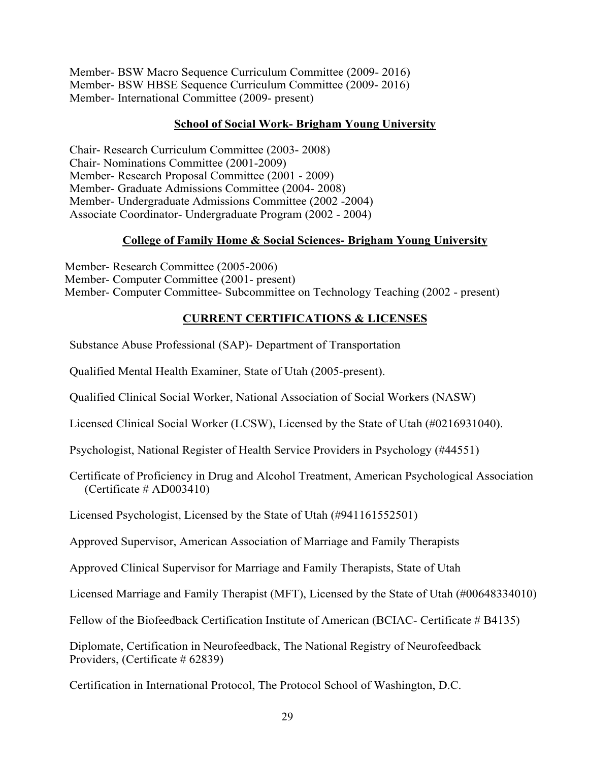Member- BSW Macro Sequence Curriculum Committee (2009- 2016) Member- BSW HBSE Sequence Curriculum Committee (2009- 2016) Member- International Committee (2009- present)

#### **School of Social Work- Brigham Young University**

Chair- Research Curriculum Committee (2003- 2008) Chair- Nominations Committee (2001-2009) Member- Research Proposal Committee (2001 - 2009) Member- Graduate Admissions Committee (2004- 2008) Member- Undergraduate Admissions Committee (2002 -2004) Associate Coordinator- Undergraduate Program (2002 - 2004)

### **College of Family Home & Social Sciences- Brigham Young University**

Member- Research Committee (2005-2006) Member- Computer Committee (2001- present) Member- Computer Committee- Subcommittee on Technology Teaching (2002 - present)

## **CURRENT CERTIFICATIONS & LICENSES**

Substance Abuse Professional (SAP)- Department of Transportation

Qualified Mental Health Examiner, State of Utah (2005-present).

Qualified Clinical Social Worker, National Association of Social Workers (NASW)

Licensed Clinical Social Worker (LCSW), Licensed by the State of Utah (#0216931040).

Psychologist, National Register of Health Service Providers in Psychology (#44551)

Certificate of Proficiency in Drug and Alcohol Treatment, American Psychological Association  $(C$ ertificate # AD003410)

Licensed Psychologist, Licensed by the State of Utah (#941161552501)

Approved Supervisor, American Association of Marriage and Family Therapists

Approved Clinical Supervisor for Marriage and Family Therapists, State of Utah

Licensed Marriage and Family Therapist (MFT), Licensed by the State of Utah (#00648334010)

Fellow of the Biofeedback Certification Institute of American (BCIAC- Certificate # B4135)

Diplomate, Certification in Neurofeedback, The National Registry of Neurofeedback Providers, (Certificate # 62839)

Certification in International Protocol, The Protocol School of Washington, D.C.